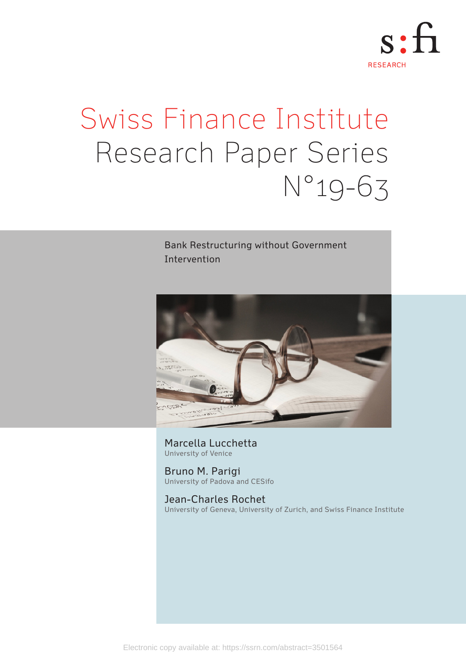

# Swiss Finance Institute Research Paper Series N°19-63

## Bank Restructuring without Government Intervention



Marcella Lucchetta University of Venice

Bruno M. Parigi University of Padova and CESifo

Jean-Charles Rochet University of Geneva, University of Zurich, and Swiss Finance Institute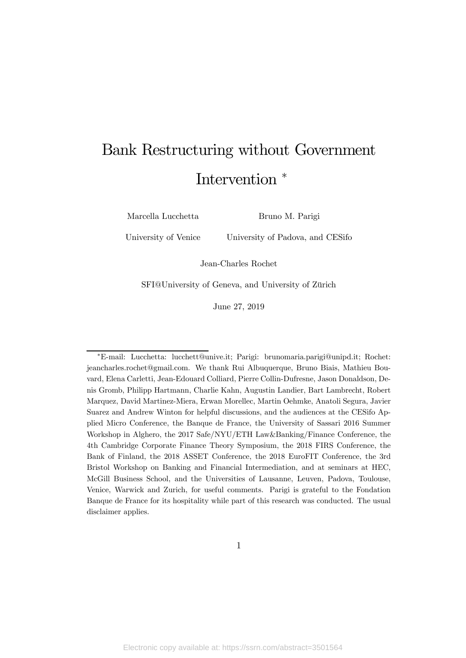## Bank Restructuring without Government Intervention  $*$

Marcella Lucchetta

Bruno M. Parigi

University of Venice

University of Padova, and CESifo

Jean-Charles Rochet

SFI@University of Geneva, and University of Zürich

June 27, 2019

<sup>∗</sup>E-mail: Lucchetta: lucchett@unive.it; Parigi: brunomaria.parigi@unipd.it; Rochet: jeancharles.rochet@gmail.com. We thank Rui Albuquerque, Bruno Biais, Mathieu Bouvard, Elena Carletti, Jean-Edouard Colliard, Pierre Collin-Dufresne, Jason Donaldson, Denis Gromb, Philipp Hartmann, Charlie Kahn, Augustin Landier, Bart Lambrecht, Robert Marquez, David Martinez-Miera, Erwan Morellec, Martin Oehmke, Anatoli Segura, Javier Suarez and Andrew Winton for helpful discussions, and the audiences at the CESifo Applied Micro Conference, the Banque de France, the University of Sassari 2016 Summer Workshop in Alghero, the 2017 Safe/NYU/ETH Law&Banking/Finance Conference, the 4th Cambridge Corporate Finance Theory Symposium, the 2018 FIRS Conference, the Bank of Finland, the 2018 ASSET Conference, the 2018 EuroFIT Conference, the 3rd Bristol Workshop on Banking and Financial Intermediation, and at seminars at HEC, McGill Business School, and the Universities of Lausanne, Leuven, Padova, Toulouse, Venice, Warwick and Zurich, for useful comments. Parigi is grateful to the Fondation Banque de France for its hospitality while part of this research was conducted. The usual disclaimer applies.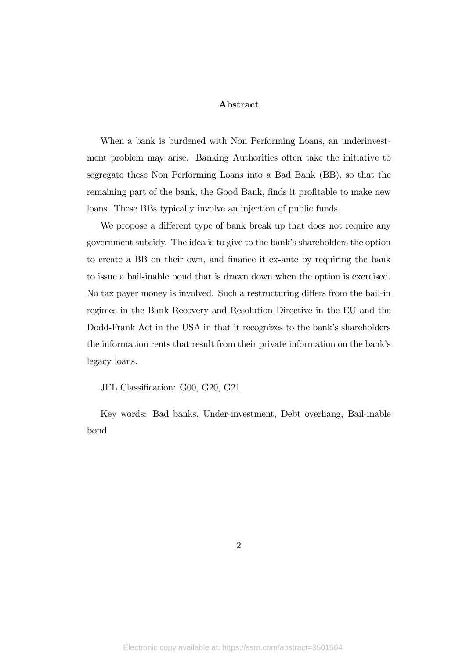#### Abstract

When a bank is burdened with Non Performing Loans, an underinvestment problem may arise. Banking Authorities often take the initiative to segregate these Non Performing Loans into a Bad Bank (BB), so that the remaining part of the bank, the Good Bank, finds it profitable to make new loans. These BBs typically involve an injection of public funds.

We propose a different type of bank break up that does not require any government subsidy. The idea is to give to the bank's shareholders the option to create a BB on their own, and finance it ex-ante by requiring the bank to issue a bail-inable bond that is drawn down when the option is exercised. No tax payer money is involved. Such a restructuring differs from the bail-in regimes in the Bank Recovery and Resolution Directive in the EU and the Dodd-Frank Act in the USA in that it recognizes to the bank's shareholders the information rents that result from their private information on the bank's legacy loans.

JEL Classification: G00, G20, G21

Key words: Bad banks, Under-investment, Debt overhang, Bail-inable bond.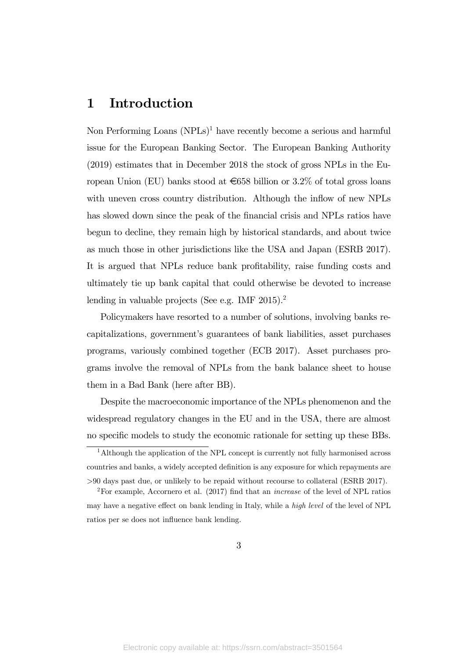## 1 Introduction

Non Performing Loans  $(NPLs)^1$  have recently become a serious and harmful issue for the European Banking Sector. The European Banking Authority (2019) estimates that in December 2018 the stock of gross NPLs in the European Union (EU) banks stood at  $\epsilon$ 658 billion or 3.2% of total gross loans with uneven cross country distribution. Although the inflow of new NPLs has slowed down since the peak of the financial crisis and NPLs ratios have begun to decline, they remain high by historical standards, and about twice as much those in other jurisdictions like the USA and Japan (ESRB 2017). It is argued that NPLs reduce bank profitability, raise funding costs and ultimately tie up bank capital that could otherwise be devoted to increase lending in valuable projects (See e.g. IMF  $2015$ ).<sup>2</sup>

Policymakers have resorted to a number of solutions, involving banks recapitalizations, government's guarantees of bank liabilities, asset purchases programs, variously combined together (ECB 2017). Asset purchases programs involve the removal of NPLs from the bank balance sheet to house them in a Bad Bank (here after BB).

Despite the macroeconomic importance of the NPLs phenomenon and the widespread regulatory changes in the EU and in the USA, there are almost no specific models to study the economic rationale for setting up these BBs.

<sup>&</sup>lt;sup>1</sup>Although the application of the NPL concept is currently not fully harmonised across countries and banks, a widely accepted definition is any exposure for which repayments are 90 days past due, or unlikely to be repaid without recourse to collateral (ESRB 2017).

<sup>&</sup>lt;sup>2</sup>For example, Accornero et al. (2017) find that an *increase* of the level of NPL ratios may have a negative effect on bank lending in Italy, while a high level of the level of NPL ratios per se does not influence bank lending.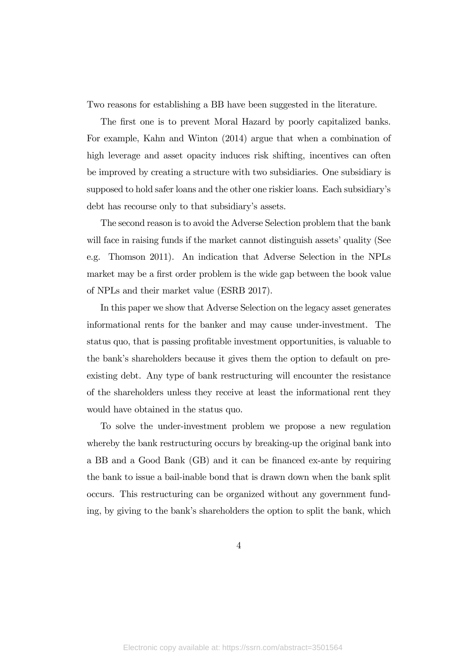Two reasons for establishing a BB have been suggested in the literature.

The first one is to prevent Moral Hazard by poorly capitalized banks. For example, Kahn and Winton (2014) argue that when a combination of high leverage and asset opacity induces risk shifting, incentives can often be improved by creating a structure with two subsidiaries. One subsidiary is supposed to hold safer loans and the other one riskier loans. Each subsidiary's debt has recourse only to that subsidiary's assets.

The second reason is to avoid the Adverse Selection problem that the bank will face in raising funds if the market cannot distinguish assets' quality (See e.g. Thomson 2011). An indication that Adverse Selection in the NPLs market may be a first order problem is the wide gap between the book value of NPLs and their market value (ESRB 2017).

In this paper we show that Adverse Selection on the legacy asset generates informational rents for the banker and may cause under-investment. The status quo, that is passing profitable investment opportunities, is valuable to the bank's shareholders because it gives them the option to default on preexisting debt. Any type of bank restructuring will encounter the resistance of the shareholders unless they receive at least the informational rent they would have obtained in the status quo.

To solve the under-investment problem we propose a new regulation whereby the bank restructuring occurs by breaking-up the original bank into a BB and a Good Bank (GB) and it can be financed ex-ante by requiring the bank to issue a bail-inable bond that is drawn down when the bank split occurs. This restructuring can be organized without any government funding, by giving to the bank's shareholders the option to split the bank, which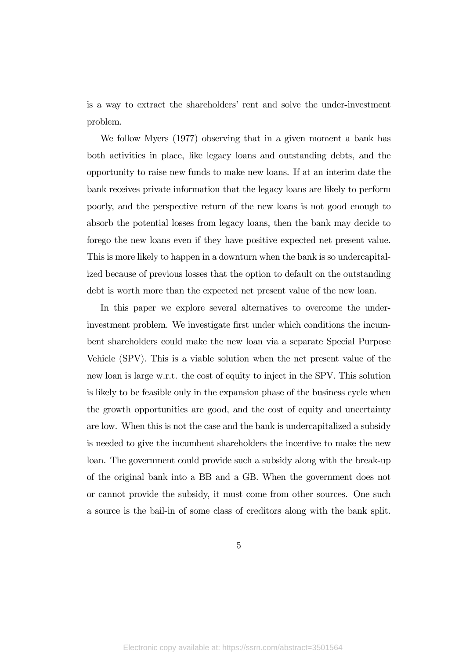is a way to extract the shareholders' rent and solve the under-investment problem.

We follow Myers (1977) observing that in a given moment a bank has both activities in place, like legacy loans and outstanding debts, and the opportunity to raise new funds to make new loans. If at an interim date the bank receives private information that the legacy loans are likely to perform poorly, and the perspective return of the new loans is not good enough to absorb the potential losses from legacy loans, then the bank may decide to forego the new loans even if they have positive expected net present value. This is more likely to happen in a downturn when the bank is so undercapitalized because of previous losses that the option to default on the outstanding debt is worth more than the expected net present value of the new loan.

In this paper we explore several alternatives to overcome the underinvestment problem. We investigate first under which conditions the incumbent shareholders could make the new loan via a separate Special Purpose Vehicle (SPV). This is a viable solution when the net present value of the new loan is large w.r.t. the cost of equity to inject in the SPV. This solution is likely to be feasible only in the expansion phase of the business cycle when the growth opportunities are good, and the cost of equity and uncertainty are low. When this is not the case and the bank is undercapitalized a subsidy is needed to give the incumbent shareholders the incentive to make the new loan. The government could provide such a subsidy along with the break-up of the original bank into a BB and a GB. When the government does not or cannot provide the subsidy, it must come from other sources. One such a source is the bail-in of some class of creditors along with the bank split.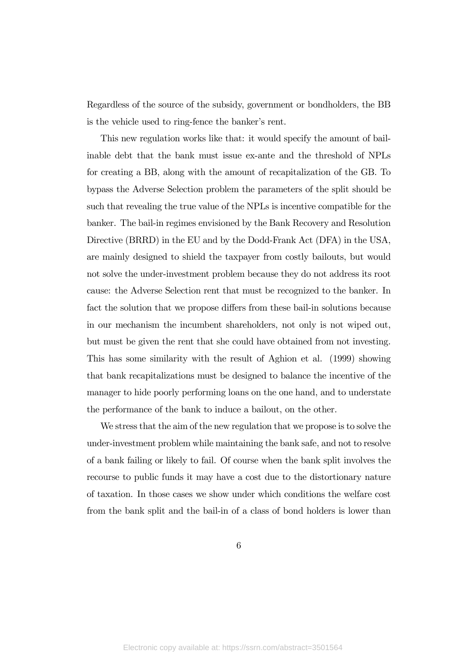Regardless of the source of the subsidy, government or bondholders, the BB is the vehicle used to ring-fence the banker's rent.

This new regulation works like that: it would specify the amount of bailinable debt that the bank must issue ex-ante and the threshold of NPLs for creating a BB, along with the amount of recapitalization of the GB. To bypass the Adverse Selection problem the parameters of the split should be such that revealing the true value of the NPLs is incentive compatible for the banker. The bail-in regimes envisioned by the Bank Recovery and Resolution Directive (BRRD) in the EU and by the Dodd-Frank Act (DFA) in the USA, are mainly designed to shield the taxpayer from costly bailouts, but would not solve the under-investment problem because they do not address its root cause: the Adverse Selection rent that must be recognized to the banker. In fact the solution that we propose differs from these bail-in solutions because in our mechanism the incumbent shareholders, not only is not wiped out, but must be given the rent that she could have obtained from not investing. This has some similarity with the result of Aghion et al. (1999) showing that bank recapitalizations must be designed to balance the incentive of the manager to hide poorly performing loans on the one hand, and to understate the performance of the bank to induce a bailout, on the other.

We stress that the aim of the new regulation that we propose is to solve the under-investment problem while maintaining the bank safe, and not to resolve of a bank failing or likely to fail. Of course when the bank split involves the recourse to public funds it may have a cost due to the distortionary nature of taxation. In those cases we show under which conditions the welfare cost from the bank split and the bail-in of a class of bond holders is lower than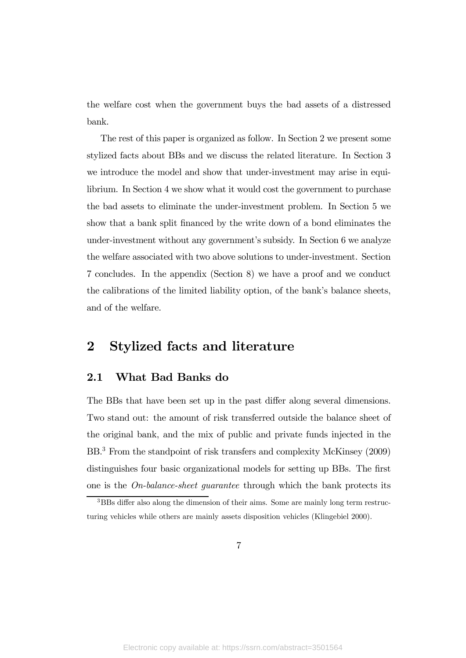the welfare cost when the government buys the bad assets of a distressed bank.

The rest of this paper is organized as follow. In Section 2 we present some stylized facts about BBs and we discuss the related literature. In Section 3 we introduce the model and show that under-investment may arise in equilibrium. In Section 4 we show what it would cost the government to purchase the bad assets to eliminate the under-investment problem. In Section 5 we show that a bank split financed by the write down of a bond eliminates the under-investment without any government's subsidy. In Section 6 we analyze the welfare associated with two above solutions to under-investment. Section 7 concludes. In the appendix (Section 8) we have a proof and we conduct the calibrations of the limited liability option, of the bank's balance sheets, and of the welfare.

## 2 Stylized facts and literature

#### 2.1 What Bad Banks do

The BBs that have been set up in the past differ along several dimensions. Two stand out: the amount of risk transferred outside the balance sheet of the original bank, and the mix of public and private funds injected in the BB.3 From the standpoint of risk transfers and complexity McKinsey (2009) distinguishes four basic organizational models for setting up BBs. The first one is the  $On-balance-sheet$  guarantee through which the bank protects its

<sup>3</sup>BBs differ also along the dimension of their aims. Some are mainly long term restructuring vehicles while others are mainly assets disposition vehicles (Klingebiel 2000).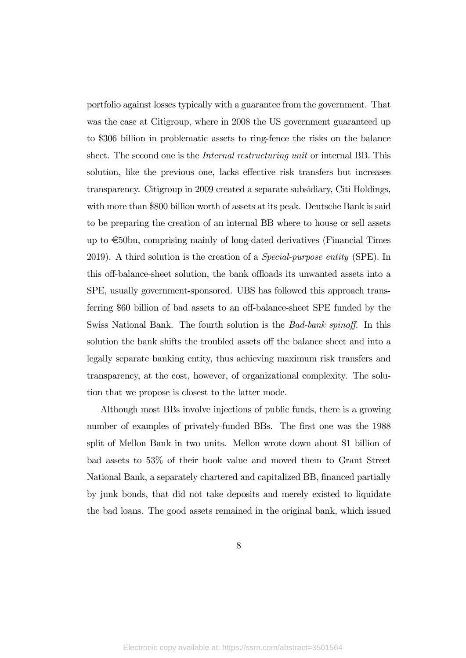portfolio against losses typically with a guarantee from the government. That was the case at Citigroup, where in 2008 the US government guaranteed up to \$306 billion in problematic assets to ring-fence the risks on the balance sheet. The second one is the *Internal restructuring unit* or internal BB. This solution, like the previous one, lacks effective risk transfers but increases transparency. Citigroup in 2009 created a separate subsidiary, Citi Holdings, with more than \$800 billion worth of assets at its peak. Deutsche Bank is said to be preparing the creation of an internal BB where to house or sell assets up to  $\epsilon$ 50bn, comprising mainly of long-dated derivatives (Financial Times 2019). A third solution is the creation of a Special-purpose entity (SPE). In this off-balance-sheet solution, the bank offloads its unwanted assets into a SPE, usually government-sponsored. UBS has followed this approach transferring \$60 billion of bad assets to an off-balance-sheet SPE funded by the Swiss National Bank. The fourth solution is the Bad-bank spinoff. In this solution the bank shifts the troubled assets off the balance sheet and into a legally separate banking entity, thus achieving maximum risk transfers and transparency, at the cost, however, of organizational complexity. The solution that we propose is closest to the latter mode.

Although most BBs involve injections of public funds, there is a growing number of examples of privately-funded BBs. The first one was the 1988 split of Mellon Bank in two units. Mellon wrote down about \$1 billion of bad assets to 53% of their book value and moved them to Grant Street National Bank, a separately chartered and capitalized BB, financed partially by junk bonds, that did not take deposits and merely existed to liquidate the bad loans. The good assets remained in the original bank, which issued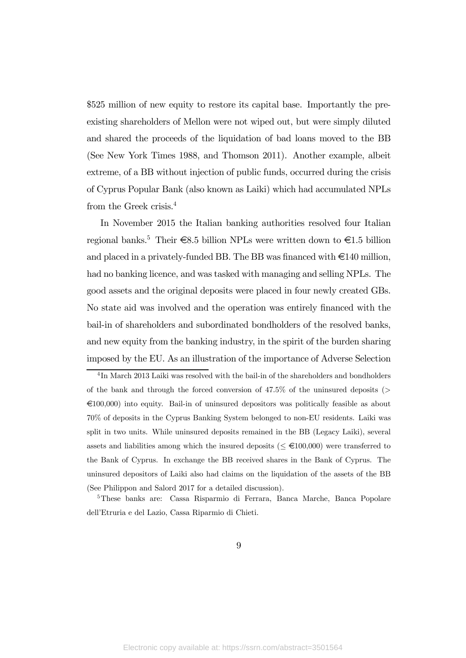\$525 million of new equity to restore its capital base. Importantly the preexisting shareholders of Mellon were not wiped out, but were simply diluted and shared the proceeds of the liquidation of bad loans moved to the BB (See New York Times 1988, and Thomson 2011). Another example, albeit extreme, of a BB without injection of public funds, occurred during the crisis of Cyprus Popular Bank (also known as Laiki) which had accumulated NPLs from the Greek crisis.4

In November 2015 the Italian banking authorities resolved four Italian regional banks.<sup>5</sup> Their  $\epsilon$ 8.5 billion NPLs were written down to  $\epsilon$ 1.5 billion and placed in a privately-funded BB. The BB was financed with  $\in$ 140 million, had no banking licence, and was tasked with managing and selling NPLs. The good assets and the original deposits were placed in four newly created GBs. No state aid was involved and the operation was entirely financed with the bail-in of shareholders and subordinated bondholders of the resolved banks, and new equity from the banking industry, in the spirit of the burden sharing imposed by the EU. As an illustration of the importance of Adverse Selection

5These banks are: Cassa Risparmio di Ferrara, Banca Marche, Banca Popolare dell'Etruria e del Lazio, Cassa Riparmio di Chieti.

<sup>&</sup>lt;sup>4</sup>In March 2013 Laiki was resolved with the bail-in of the shareholders and bondholders of the bank and through the forced conversion of  $47.5\%$  of the uninsured deposits ( $>$  $\in$ 100,000) into equity. Bail-in of uninsured depositors was politically feasible as about 70% of deposits in the Cyprus Banking System belonged to non-EU residents. Laiki was split in two units. While uninsured deposits remained in the BB (Legacy Laiki), several assets and liabilities among which the insured deposits ( $\leq \epsilon 100,000$ ) were transferred to the Bank of Cyprus. In exchange the BB received shares in the Bank of Cyprus. The uninsured depositors of Laiki also had claims on the liquidation of the assets of the BB (See Philippon and Salord 2017 for a detailed discussion).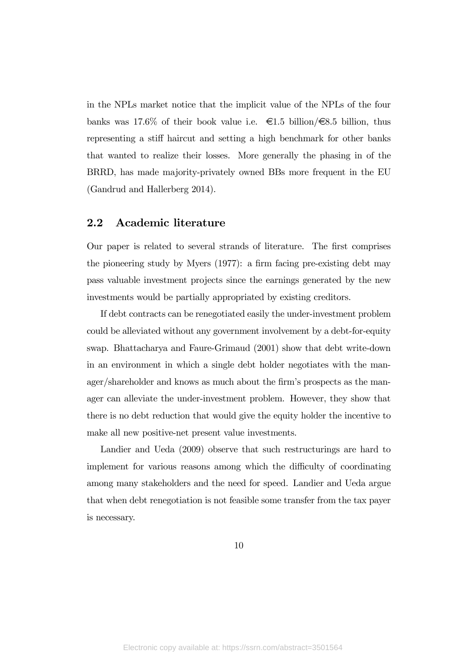in the NPLs market notice that the implicit value of the NPLs of the four banks was 17.6% of their book value i.e.  $\epsilon$ 1.5 billion/ $\epsilon$ 8.5 billion, thus representing a stiff haircut and setting a high benchmark for other banks that wanted to realize their losses. More generally the phasing in of the BRRD, has made majority-privately owned BBs more frequent in the EU (Gandrud and Hallerberg 2014).

#### 2.2 Academic literature

Our paper is related to several strands of literature. The first comprises the pioneering study by Myers (1977): a firm facing pre-existing debt may pass valuable investment projects since the earnings generated by the new investments would be partially appropriated by existing creditors.

If debt contracts can be renegotiated easily the under-investment problem could be alleviated without any government involvement by a debt-for-equity swap. Bhattacharya and Faure-Grimaud (2001) show that debt write-down in an environment in which a single debt holder negotiates with the manager/shareholder and knows as much about the firm's prospects as the manager can alleviate the under-investment problem. However, they show that there is no debt reduction that would give the equity holder the incentive to make all new positive-net present value investments.

Landier and Ueda (2009) observe that such restructurings are hard to implement for various reasons among which the difficulty of coordinating among many stakeholders and the need for speed. Landier and Ueda argue that when debt renegotiation is not feasible some transfer from the tax payer is necessary.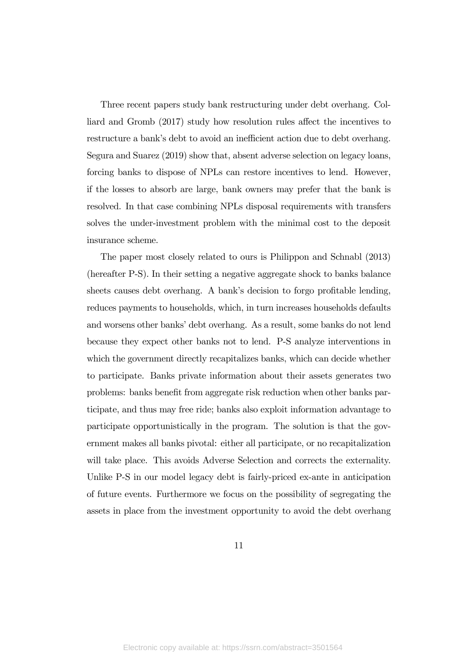Three recent papers study bank restructuring under debt overhang. Colliard and Gromb (2017) study how resolution rules affect the incentives to restructure a bank's debt to avoid an inefficient action due to debt overhang. Segura and Suarez (2019) show that, absent adverse selection on legacy loans, forcing banks to dispose of NPLs can restore incentives to lend. However, if the losses to absorb are large, bank owners may prefer that the bank is resolved. In that case combining NPLs disposal requirements with transfers solves the under-investment problem with the minimal cost to the deposit insurance scheme.

The paper most closely related to ours is Philippon and Schnabl (2013) (hereafter P-S). In their setting a negative aggregate shock to banks balance sheets causes debt overhang. A bank's decision to forgo profitable lending, reduces payments to households, which, in turn increases households defaults and worsens other banks' debt overhang. As a result, some banks do not lend because they expect other banks not to lend. P-S analyze interventions in which the government directly recapitalizes banks, which can decide whether to participate. Banks private information about their assets generates two problems: banks benefit from aggregate risk reduction when other banks participate, and thus may free ride; banks also exploit information advantage to participate opportunistically in the program. The solution is that the government makes all banks pivotal: either all participate, or no recapitalization will take place. This avoids Adverse Selection and corrects the externality. Unlike P-S in our model legacy debt is fairly-priced ex-ante in anticipation of future events. Furthermore we focus on the possibility of segregating the assets in place from the investment opportunity to avoid the debt overhang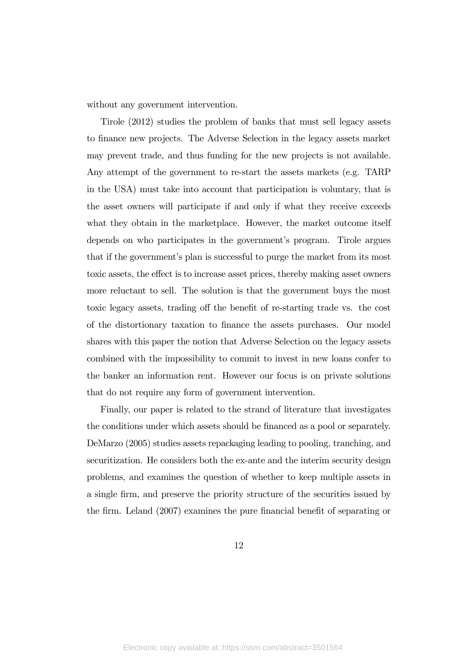without any government intervention.

Tirole (2012) studies the problem of banks that must sell legacy assets to finance new projects. The Adverse Selection in the legacy assets market may prevent trade, and thus funding for the new projects is not available. Any attempt of the government to re-start the assets markets (e.g. TARP in the USA) must take into account that participation is voluntary, that is the asset owners will participate if and only if what they receive exceeds what they obtain in the marketplace. However, the market outcome itself depends on who participates in the government's program. Tirole argues that if the government's plan is successful to purge the market from its most toxic assets, the effect is to increase asset prices, thereby making asset owners more reluctant to sell. The solution is that the government buys the most toxic legacy assets, trading off the benefit of re-starting trade vs. the cost of the distortionary taxation to finance the assets purchases. Our model shares with this paper the notion that Adverse Selection on the legacy assets combined with the impossibility to commit to invest in new loans confer to the banker an information rent. However our focus is on private solutions that do not require any form of government intervention.

Finally, our paper is related to the strand of literature that investigates the conditions under which assets should be financed as a pool or separately. DeMarzo (2005) studies assets repackaging leading to pooling, tranching, and securitization. He considers both the ex-ante and the interim security design problems, and examines the question of whether to keep multiple assets in a single firm, and preserve the priority structure of the securities issued by the firm. Leland (2007) examines the pure financial benefit of separating or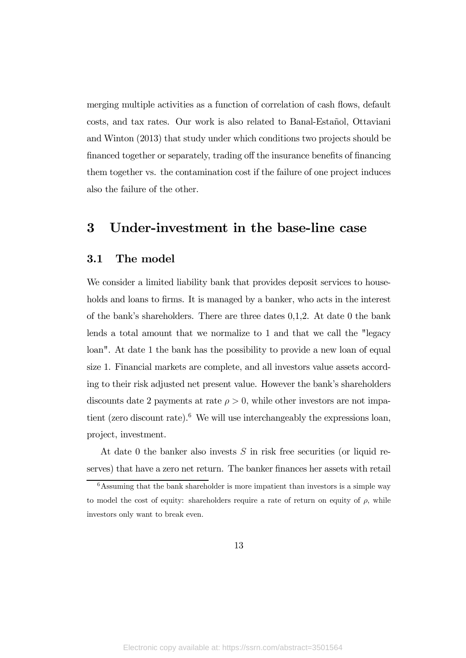merging multiple activities as a function of correlation of cash flows, default costs, and tax rates. Our work is also related to Banal-Estañol, Ottaviani and Winton (2013) that study under which conditions two projects should be financed together or separately, trading off the insurance benefits of financing them together vs. the contamination cost if the failure of one project induces also the failure of the other.

## 3 Under-investment in the base-line case

#### 3.1 The model

We consider a limited liability bank that provides deposit services to households and loans to firms. It is managed by a banker, who acts in the interest of the bank's shareholders. There are three dates  $0,1,2$ . At date 0 the bank lends a total amount that we normalize to 1 and that we call the "legacy loan". At date 1 the bank has the possibility to provide a new loan of equal size 1. Financial markets are complete, and all investors value assets according to their risk adjusted net present value. However the bank's shareholders discounts date 2 payments at rate  $\rho > 0$ , while other investors are not impatient (zero discount rate).<sup>6</sup> We will use interchangeably the expressions loan, project, investment.

At date 0 the banker also invests  $S$  in risk free securities (or liquid reserves) that have a zero net return. The banker finances her assets with retail

 $\overline{6}$ Assuming that the bank shareholder is more impatient than investors is a simple way to model the cost of equity: shareholders require a rate of return on equity of  $\rho$ , while investors only want to break even.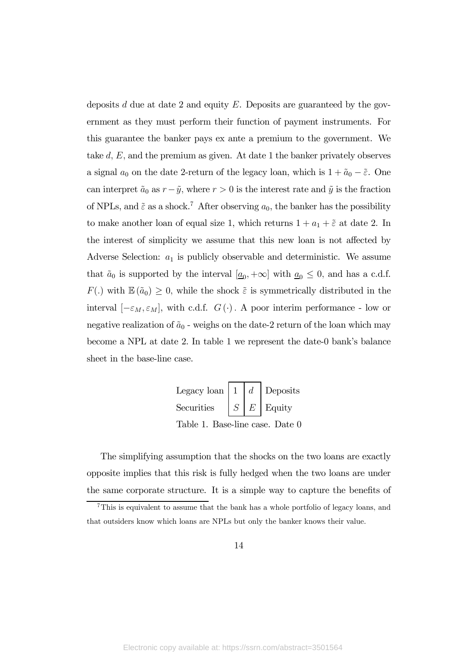deposits  $d$  due at date 2 and equity  $E$ . Deposits are guaranteed by the government as they must perform their function of payment instruments. For this guarantee the banker pays ex ante a premium to the government. We take  $d, E$ , and the premium as given. At date 1 the banker privately observes a signal  $a_0$  on the date 2-return of the legacy loan, which is  $1+\tilde{a}_0-\tilde{\varepsilon}$ . One can interpret  $\tilde{a}_0$  as  $r - \tilde{y}$ , where  $r > 0$  is the interest rate and  $\tilde{y}$  is the fraction of NPLs, and  $\tilde{\varepsilon}$  as a shock.<sup>7</sup> After observing  $a_0$ , the banker has the possibility to make another loan of equal size 1, which returns  $1 + a_1 + \tilde{\varepsilon}$  at date 2. In the interest of simplicity we assume that this new loan is not affected by Adverse Selection:  $a_1$  is publicly observable and deterministic. We assume that  $\tilde{a}_0$  is supported by the interval  $[\underline{a}_0, +\infty]$  with  $\underline{a}_0 \leq 0$ , and has a c.d.f.  $F(.)$  with  $\mathbb{E}(\tilde{a}_0) \geq 0$ , while the shock  $\tilde{\varepsilon}$  is symmetrically distributed in the interval  $[-\varepsilon_M, \varepsilon_M]$ , with c.d.f.  $G(\cdot)$ . A poor interim performance - low or negative realization of  $\tilde{a}_0$  - weighs on the date-2 return of the loan which may become a NPL at date 2. In table 1 we represent the date-0 bank's balance sheet in the base-line case.

| Legacy loan   1   $d$ |  | Deposits               |
|-----------------------|--|------------------------|
| Securities            |  | $S \mid E \mid$ Equity |

Table 1. Base-line case. Date 0

The simplifying assumption that the shocks on the two loans are exactly opposite implies that this risk is fully hedged when the two loans are under the same corporate structure. It is a simple way to capture the benefits of

<sup>7</sup>This is equivalent to assume that the bank has a whole portfolio of legacy loans, and that outsiders know which loans are NPLs but only the banker knows their value.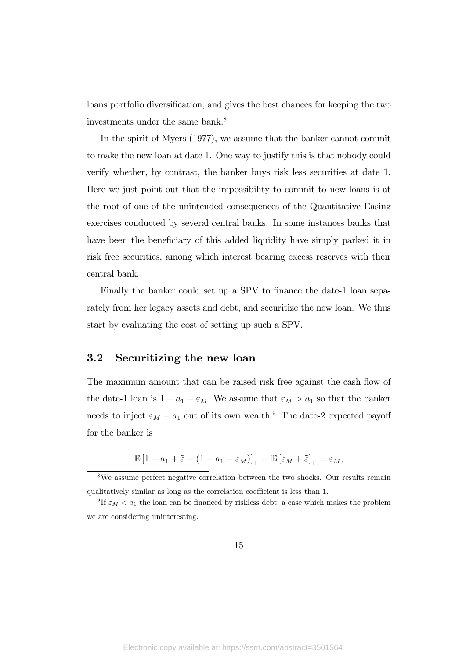loans portfolio diversification, and gives the best chances for keeping the two investments under the same bank.<sup>8</sup>

In the spirit of Myers (1977), we assume that the banker cannot commit to make the new loan at date 1. One way to justify this is that nobody could verify whether, by contrast, the banker buys risk less securities at date 1. Here we just point out that the impossibility to commit to new loans is at the root of one of the unintended consequences of the Quantitative Easing exercises conducted by several central banks. In some instances banks that have been the beneficiary of this added liquidity have simply parked it in risk free securities, among which interest bearing excess reserves with their central bank.

Finally the banker could set up a SPV to finance the date-1 loan separately from her legacy assets and debt, and securitize the new loan. We thus start by evaluating the cost of setting up such a SPV.

#### 3.2 Securitizing the new loan

The maximum amount that can be raised risk free against the cash flow of the date-1 loan is  $1 + a_1 - \varepsilon_M$ . We assume that  $\varepsilon_M > a_1$  so that the banker needs to inject  $\varepsilon_M - a_1$  out of its own wealth.<sup>9</sup> The date-2 expected payoff for the banker is

$$
\mathbb{E}\left[1+a_1+\tilde{\varepsilon}-(1+a_1-\varepsilon_M)\right]_+=\mathbb{E}\left[\varepsilon_M+\tilde{\varepsilon}\right]_+=\varepsilon_M,
$$

<sup>8</sup>We assume perfect negative correlation between the two shocks. Our results remain qualitatively similar as long as the correlation coefficient is less than 1.

<sup>&</sup>lt;sup>9</sup>If  $\varepsilon_M < a_1$  the loan can be financed by riskless debt, a case which makes the problem we are considering uninteresting.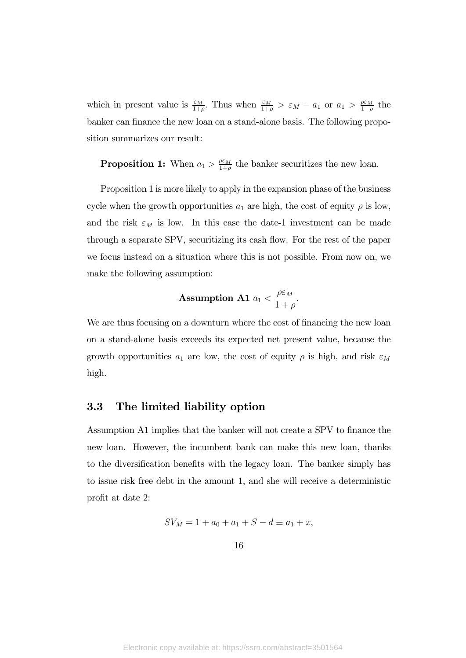which in present value is  $\frac{\varepsilon_M}{1+\rho}$ . Thus when  $\frac{\varepsilon_M}{1+\rho} > \varepsilon_M - a_1$  or  $a_1 > \frac{\rho \varepsilon_M}{1+\rho}$  the banker can finance the new loan on a stand-alone basis. The following proposition summarizes our result:

**Proposition 1:** When  $a_1 > \frac{\rho \varepsilon_M}{1+\rho}$  the banker securitizes the new loan.

Proposition 1 is more likely to apply in the expansion phase of the business cycle when the growth opportunities  $a_1$  are high, the cost of equity  $\rho$  is low, and the risk  $\varepsilon_M$  is low. In this case the date-1 investment can be made through a separate SPV, securitizing its cash flow. For the rest of the paper we focus instead on a situation where this is not possible. From now on, we make the following assumption:

**Assumption A1** 
$$
a_1 < \frac{\rho \varepsilon_M}{1 + \rho}
$$
.

We are thus focusing on a downturn where the cost of financing the new loan on a stand-alone basis exceeds its expected net present value, because the growth opportunities  $a_1$  are low, the cost of equity  $\rho$  is high, and risk  $\varepsilon_M$ high.

#### 3.3 The limited liability option

Assumption A1 implies that the banker will not create a SPV to finance the new loan. However, the incumbent bank can make this new loan, thanks to the diversification benefits with the legacy loan. The banker simply has to issue risk free debt in the amount 1, and she will receive a deterministic profit at date 2:

$$
SV_M = 1 + a_0 + a_1 + S - d \equiv a_1 + x,
$$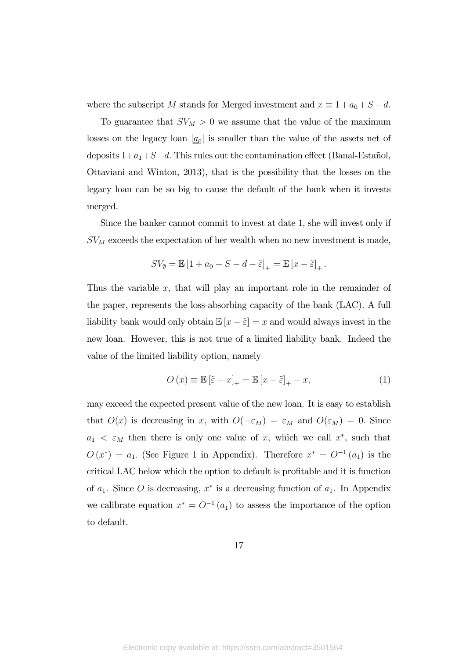where the subscript M stands for Merged investment and  $x \equiv 1 + a_0 + S - d$ .

To guarantee that  $SV_M > 0$  we assume that the value of the maximum losses on the legacy loan  $|\underline{a}_0|$  is smaller than the value of the assets net of deposits  $1+a_1+S-d$ . This rules out the contamination effect (Banal-Estañol, Ottaviani and Winton, 2013), that is the possibility that the losses on the legacy loan can be so big to cause the default of the bank when it invests merged.

Since the banker cannot commit to invest at date 1, she will invest only if  $SV_M$  exceeds the expectation of her wealth when no new investment is made,

$$
SV_{\emptyset} = \mathbb{E}\left[1 + a_0 + S - d - \tilde{\varepsilon}\right]_+ = \mathbb{E}\left[x - \tilde{\varepsilon}\right]_+.
$$

Thus the variable  $x$ , that will play an important role in the remainder of the paper, represents the loss-absorbing capacity of the bank (LAC). A full liability bank would only obtain  $\mathbb{E}[x - \tilde{\varepsilon}] = x$  and would always invest in the new loan. However, this is not true of a limited liability bank. Indeed the value of the limited liability option, namely

$$
O(x) \equiv \mathbb{E} \left[ \tilde{\varepsilon} - x \right]_+ = \mathbb{E} \left[ x - \tilde{\varepsilon} \right]_+ - x,\tag{1}
$$

may exceed the expected present value of the new loan. It is easy to establish that  $O(x)$  is decreasing in x, with  $O(-\varepsilon_M) = \varepsilon_M$  and  $O(\varepsilon_M) = 0$ . Since  $a_1 < \varepsilon_M$  then there is only one value of x, which we call x<sup>\*</sup>, such that  $O(x^*) = a_1$ . (See Figure 1 in Appendix). Therefore  $x^* = O^{-1}(a_1)$  is the critical LAC below which the option to default is profitable and it is function of  $a_1$ . Since O is decreasing,  $x^*$  is a decreasing function of  $a_1$ . In Appendix we calibrate equation  $x^* = O^{-1}(a_1)$  to assess the importance of the option to default.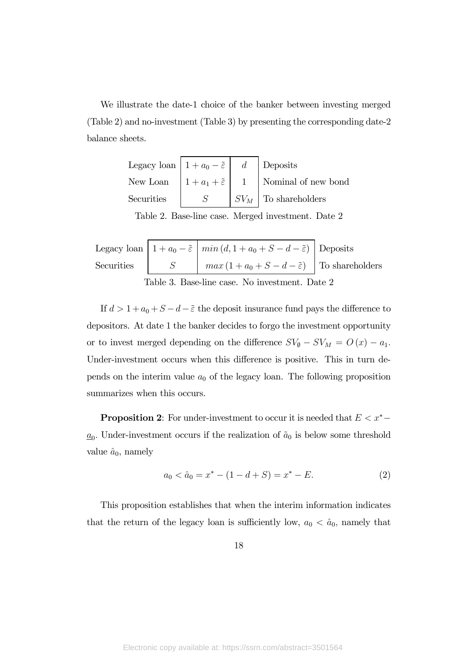We illustrate the date-1 choice of the banker between investing merged (Table 2) and no-investment (Table 3) by presenting the corresponding date-2 balance sheets.

| Legacy loan $1 + a_0 - \tilde{\varepsilon}$ $d$ Deposits |  |                                                                                 |
|----------------------------------------------------------|--|---------------------------------------------------------------------------------|
|                                                          |  | New Loan $\left  1 + a_1 + \tilde{\varepsilon} \right $ 1   Nominal of new bond |
| Securities                                               |  | $\mid SV_M \mid$ To shareholders                                                |

Table 2. Base-line case. Merged investment. Date 2

|                                                |  | Legacy loan $\left  1 + a_0 - \tilde{\varepsilon} \right  \min (d, 1 + a_0 + S - d - \tilde{\varepsilon})$ Deposits |  |  |  |
|------------------------------------------------|--|---------------------------------------------------------------------------------------------------------------------|--|--|--|
|                                                |  | Securities $S = \begin{vmatrix} mx(1 + a_0 + S - d - \tilde{\varepsilon}) & T_0 \end{vmatrix}$ To shareholders      |  |  |  |
| Table 3. Base-line case. No investment. Date 2 |  |                                                                                                                     |  |  |  |

If  $d > 1 + a_0 + S - d - \tilde{\varepsilon}$  the deposit insurance fund pays the difference to depositors. At date 1 the banker decides to forgo the investment opportunity or to invest merged depending on the difference  $SV_{\emptyset} - SV_M = O(x) - a_1$ . Under-investment occurs when this difference is positive. This in turn depends on the interim value  $a_0$  of the legacy loan. The following proposition summarizes when this occurs.

**Proposition 2:** For under-investment to occur it is needed that  $E < x^*$  –  $\underline{a}_0$ . Under-investment occurs if the realization of  $\tilde{a}_0$  is below some threshold value  $\hat{a}_0$ , namely

$$
a_0 < \hat{a}_0 = x^* - (1 - d + S) = x^* - E. \tag{2}
$$

This proposition establishes that when the interim information indicates that the return of the legacy loan is sufficiently low,  $a_0 < \hat{a}_0$ , namely that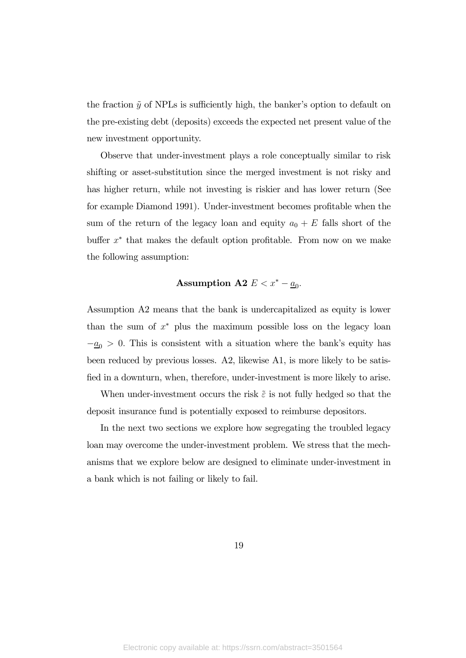the fraction  $\tilde{y}$  of NPLs is sufficiently high, the banker's option to default on the pre-existing debt (deposits) exceeds the expected net present value of the new investment opportunity.

Observe that under-investment plays a role conceptually similar to risk shifting or asset-substitution since the merged investment is not risky and has higher return, while not investing is riskier and has lower return (See for example Diamond 1991). Under-investment becomes profitable when the sum of the return of the legacy loan and equity  $a_0 + E$  falls short of the buffer  $x^*$  that makes the default option profitable. From now on we make the following assumption:

#### Assumption A2  $E < x^* - \underline{a}_0$ .

Assumption A2 means that the bank is undercapitalized as equity is lower than the sum of  $x^*$  plus the maximum possible loss on the legacy loan  $-\underline{a}_0 > 0$ . This is consistent with a situation where the bank's equity has been reduced by previous losses. A2, likewise A1, is more likely to be satisfied in a downturn, when, therefore, under-investment is more likely to arise.

When under-investment occurs the risk  $\tilde{\varepsilon}$  is not fully hedged so that the deposit insurance fund is potentially exposed to reimburse depositors.

In the next two sections we explore how segregating the troubled legacy loan may overcome the under-investment problem. We stress that the mechanisms that we explore below are designed to eliminate under-investment in a bank which is not failing or likely to fail.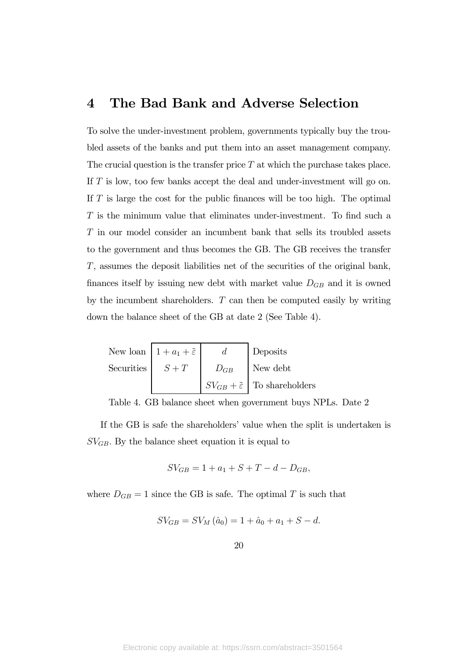## 4 The Bad Bank and Adverse Selection

To solve the under-investment problem, governments typically buy the troubled assets of the banks and put them into an asset management company. The crucial question is the transfer price  $T$  at which the purchase takes place. If  $T$  is low, too few banks accept the deal and under-investment will go on. If  $T$  is large the cost for the public finances will be too high. The optimal  $T$  is the minimum value that eliminates under-investment. To find such a in our model consider an incumbent bank that sells its troubled assets to the government and thus becomes the GB. The GB receives the transfer , assumes the deposit liabilities net of the securities of the original bank, finances itself by issuing new debt with market value  $D_{GB}$  and it is owned by the incumbent shareholders.  $T$  can then be computed easily by writing down the balance sheet of the GB at date 2 (See Table 4).

|                    | New loan $1 + a_1 + \tilde{\varepsilon}$ | $\boldsymbol{d}$ | Deposits                                         |
|--------------------|------------------------------------------|------------------|--------------------------------------------------|
| Securities $S + T$ |                                          | $D_{GB}$         | New debt                                         |
|                    |                                          |                  | $S V_{GB} + \tilde{\varepsilon}$ To shareholders |

Table 4. GB balance sheet when government buys NPLs. Date 2

If the GB is safe the shareholders' value when the split is undertaken is  $SV_{GB}$ . By the balance sheet equation it is equal to

$$
SV_{GB} = 1 + a_1 + S + T - d - D_{GB},
$$

where  $D_{GB} = 1$  since the GB is safe. The optimal T is such that

$$
SV_{GB} = SV_M(\hat{a}_0) = 1 + \hat{a}_0 + a_1 + S - d.
$$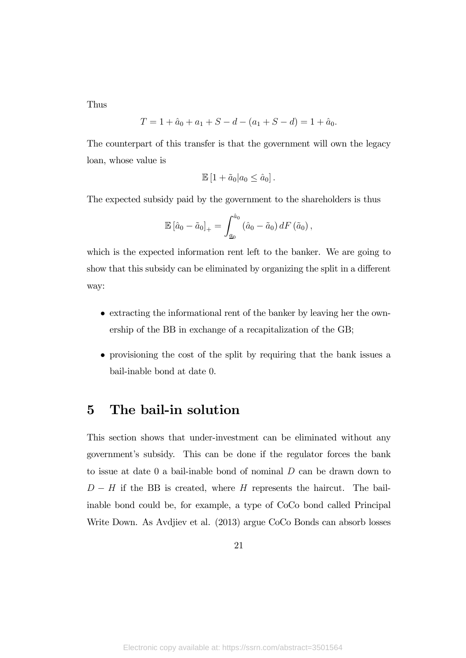Thus

$$
T = 1 + \hat{a}_0 + a_1 + S - d - (a_1 + S - d) = 1 + \hat{a}_0.
$$

The counterpart of this transfer is that the government will own the legacy loan, whose value is

$$
\mathbb{E}\left[1+\tilde{a}_0|a_0\leq \hat{a}_0\right].
$$

The expected subsidy paid by the government to the shareholders is thus

$$
\mathbb{E}\left[\hat{a}_0 - \tilde{a}_0\right]_+ = \int_{\underline{a}_0}^{\hat{a}_0} \left(\hat{a}_0 - \tilde{a}_0\right) dF\left(\tilde{a}_0\right),
$$

which is the expected information rent left to the banker. We are going to show that this subsidy can be eliminated by organizing the split in a different way:

- extracting the informational rent of the banker by leaving her the ownership of the BB in exchange of a recapitalization of the GB;
- provisioning the cost of the split by requiring that the bank issues a bail-inable bond at date 0.

## 5 The bail-in solution

This section shows that under-investment can be eliminated without any government's subsidy. This can be done if the regulator forces the bank to issue at date 0 a bail-inable bond of nominal  $D$  can be drawn down to  $D - H$  if the BB is created, where  $H$  represents the haircut. The bailinable bond could be, for example, a type of CoCo bond called Principal Write Down. As Avdjiev et al. (2013) argue CoCo Bonds can absorb losses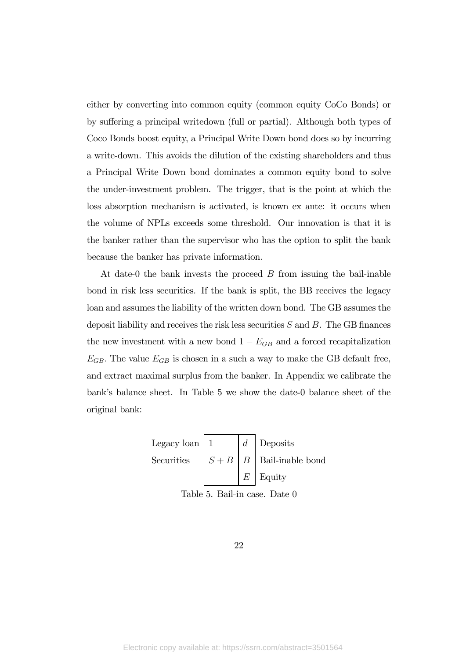either by converting into common equity (common equity CoCo Bonds) or by suffering a principal writedown (full or partial). Although both types of Coco Bonds boost equity, a Principal Write Down bond does so by incurring a write-down. This avoids the dilution of the existing shareholders and thus a Principal Write Down bond dominates a common equity bond to solve the under-investment problem. The trigger, that is the point at which the loss absorption mechanism is activated, is known ex ante: it occurs when the volume of NPLs exceeds some threshold. Our innovation is that it is the banker rather than the supervisor who has the option to split the bank because the banker has private information.

At date-0 the bank invests the proceed  $B$  from issuing the bail-inable bond in risk less securities. If the bank is split, the BB receives the legacy loan and assumes the liability of the written down bond. The GB assumes the deposit liability and receives the risk less securities  $S$  and  $B$ . The GB finances the new investment with a new bond  $1 - E_{GB}$  and a forced recapitalization  $E_{GB}$ . The value  $E_{GB}$  is chosen in a such a way to make the GB default free, and extract maximal surplus from the banker. In Appendix we calibrate the bank's balance sheet. In Table 5 we show the date-0 balance sheet of the original bank:

> Legacy loan | 1  $\vert d \vert$  Deposits Securities  $|S + B| B|$  Bail-inable bond  $E$  | Equity

Table 5. Bail-in case. Date 0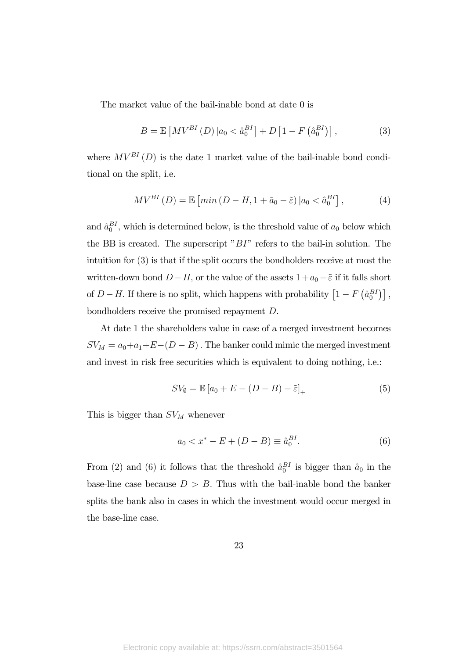The market value of the bail-inable bond at date 0 is

$$
B = \mathbb{E}\left[MV^{BI}(D)\middle|a_0 < \hat{a}_0^{BI}\right] + D\left[1 - F\left(\hat{a}_0^{BI}\right)\right],\tag{3}
$$

where  $MV^{BI}(D)$  is the date 1 market value of the bail-inable bond conditional on the split, i.e.

$$
MV^{BI}(D) = \mathbb{E}\left[\min\left(D - H, 1 + \tilde{a}_0 - \tilde{\varepsilon}\right)|a_0 < \hat{a}_0^{BI}\right],\tag{4}
$$

and  $\hat{a}_0^{BI}$ , which is determined below, is the threshold value of  $a_0$  below which the BB is created. The superscript " $BI$ " refers to the bail-in solution. The intuition for (3) is that if the split occurs the bondholders receive at most the written-down bond  $D - H$ , or the value of the assets  $1 + a_0 - \tilde{\varepsilon}$  if it falls short of  $D - H$ . If there is no split, which happens with probability  $\left[1 - F\left(\hat{a}_0^{BI}\right)\right]$ , bondholders receive the promised repayment  $D$ .

At date 1 the shareholders value in case of a merged investment becomes  $SV_M = a_0+a_1+E-(D-B)$ . The banker could mimic the merged investment and invest in risk free securities which is equivalent to doing nothing, i.e.:

$$
SV_{\emptyset} = \mathbb{E}\left[a_0 + E - (D - B) - \tilde{\varepsilon}\right]_+\tag{5}
$$

This is bigger than  $SV_M$  whenever

$$
a_0 < x^* - E + (D - B) \equiv \hat{a}_0^{BI}.
$$
 (6)

From (2) and (6) it follows that the threshold  $\hat{a}_0^{BI}$  is bigger than  $\hat{a}_0$  in the base-line case because  $D > B$ . Thus with the bail-inable bond the banker splits the bank also in cases in which the investment would occur merged in the base-line case.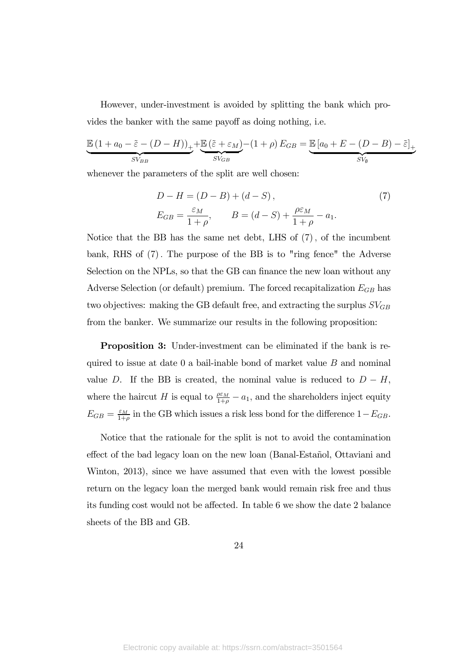However, under-investment is avoided by splitting the bank which provides the banker with the same payoff as doing nothing, i.e.

$$
\underbrace{\mathbb{E}\left(1+a_0-\tilde{\varepsilon}-(D-H)\right)}_{SV_{BB}}+\underbrace{\mathbb{E}\left(\tilde{\varepsilon}+\varepsilon_M\right)}_{SV_{GB}}-(1+\rho)\,E_{GB}=\underbrace{\mathbb{E}\left[a_0+E-(D-B)-\tilde{\varepsilon}\right]}_{SV_{\emptyset}}
$$

whenever the parameters of the split are well chosen:

$$
D - H = (D - B) + (d - S),
$$
  
\n
$$
E_{GB} = \frac{\varepsilon_M}{1 + \rho}, \qquad B = (d - S) + \frac{\rho \varepsilon_M}{1 + \rho} - a_1.
$$
\n(7)

Notice that the BB has the same net debt, LHS of  $(7)$ , of the incumbent bank, RHS of  $(7)$ . The purpose of the BB is to "ring fence" the Adverse Selection on the NPLs, so that the GB can finance the new loan without any Adverse Selection (or default) premium. The forced recapitalization  $E_{GB}$  has two objectives: making the GB default free, and extracting the surplus  $SV_{GB}$ from the banker. We summarize our results in the following proposition:

Proposition 3: Under-investment can be eliminated if the bank is required to issue at date 0 a bail-inable bond of market value  $B$  and nominal value D. If the BB is created, the nominal value is reduced to  $D - H$ , where the haircut H is equal to  $\frac{\rho \varepsilon_M}{1+\rho} - a_1$ , and the shareholders inject equity  $E_{GB} = \frac{\varepsilon_M}{1+\rho}$  in the GB which issues a risk less bond for the difference  $1-E_{GB}$ .

Notice that the rationale for the split is not to avoid the contamination effect of the bad legacy loan on the new loan (Banal-Estañol, Ottaviani and Winton, 2013), since we have assumed that even with the lowest possible return on the legacy loan the merged bank would remain risk free and thus its funding cost would not be affected. In table 6 we show the date 2 balance sheets of the BB and GB.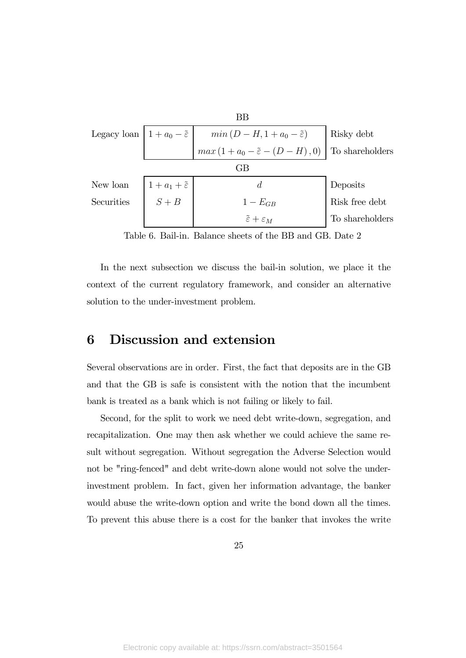| ΒB                                        |                             |                                                   |                 |  |  |  |
|-------------------------------------------|-----------------------------|---------------------------------------------------|-----------------|--|--|--|
| Legacy loan $ 1+a_0-\tilde{\varepsilon} $ |                             | Risky debt                                        |                 |  |  |  |
|                                           |                             | $max(1 + a_0 - \tilde{\varepsilon} - (D - H), 0)$ | To shareholders |  |  |  |
| GВ                                        |                             |                                                   |                 |  |  |  |
| New loan                                  | $1+a_1+\tilde{\varepsilon}$ | d.                                                | Deposits        |  |  |  |
| Securities                                | $S + B$                     | $1-E_{GB}$                                        | Risk free debt  |  |  |  |
|                                           |                             | $\tilde{\varepsilon} + \varepsilon_M$             | To shareholders |  |  |  |

Table 6. Bail-in. Balance sheets of the BB and GB. Date 2

In the next subsection we discuss the bail-in solution, we place it the context of the current regulatory framework, and consider an alternative solution to the under-investment problem.

## 6 Discussion and extension

Several observations are in order. First, the fact that deposits are in the GB and that the GB is safe is consistent with the notion that the incumbent bank is treated as a bank which is not failing or likely to fail.

Second, for the split to work we need debt write-down, segregation, and recapitalization. One may then ask whether we could achieve the same result without segregation. Without segregation the Adverse Selection would not be "ring-fenced" and debt write-down alone would not solve the underinvestment problem. In fact, given her information advantage, the banker would abuse the write-down option and write the bond down all the times. To prevent this abuse there is a cost for the banker that invokes the write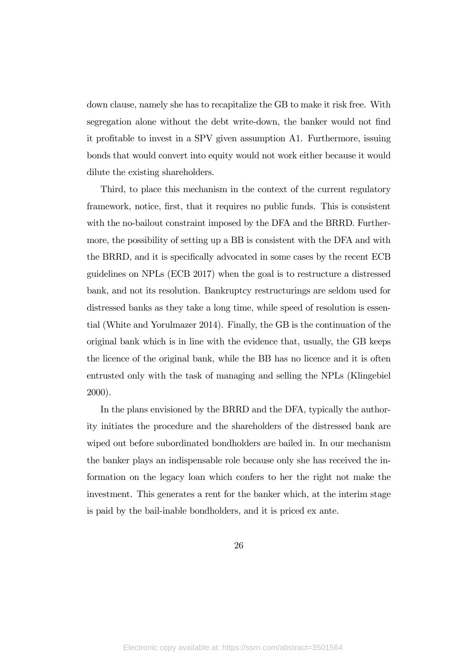down clause, namely she has to recapitalize the GB to make it risk free. With segregation alone without the debt write-down, the banker would not find it profitable to invest in a SPV given assumption A1. Furthermore, issuing bonds that would convert into equity would not work either because it would dilute the existing shareholders.

Third, to place this mechanism in the context of the current regulatory framework, notice, first, that it requires no public funds. This is consistent with the no-bailout constraint imposed by the DFA and the BRRD. Furthermore, the possibility of setting up a BB is consistent with the DFA and with the BRRD, and it is specifically advocated in some cases by the recent ECB guidelines on NPLs (ECB 2017) when the goal is to restructure a distressed bank, and not its resolution. Bankruptcy restructurings are seldom used for distressed banks as they take a long time, while speed of resolution is essential (White and Yorulmazer 2014). Finally, the GB is the continuation of the original bank which is in line with the evidence that, usually, the GB keeps the licence of the original bank, while the BB has no licence and it is often entrusted only with the task of managing and selling the NPLs (Klingebiel 2000).

In the plans envisioned by the BRRD and the DFA, typically the authority initiates the procedure and the shareholders of the distressed bank are wiped out before subordinated bondholders are bailed in. In our mechanism the banker plays an indispensable role because only she has received the information on the legacy loan which confers to her the right not make the investment. This generates a rent for the banker which, at the interim stage is paid by the bail-inable bondholders, and it is priced ex ante.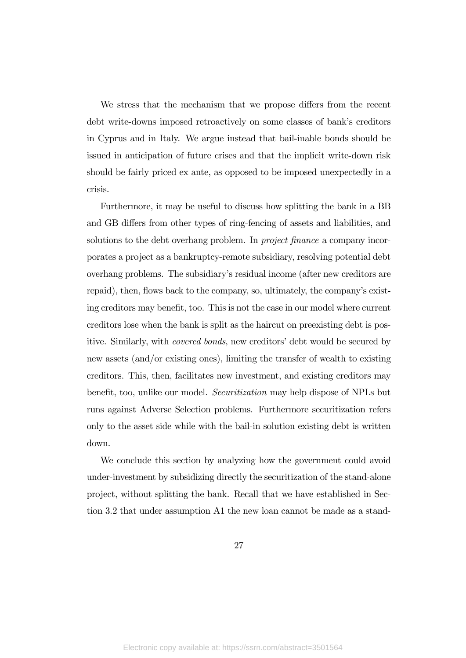We stress that the mechanism that we propose differs from the recent debt write-downs imposed retroactively on some classes of bank's creditors in Cyprus and in Italy. We argue instead that bail-inable bonds should be issued in anticipation of future crises and that the implicit write-down risk should be fairly priced ex ante, as opposed to be imposed unexpectedly in a crisis.

Furthermore, it may be useful to discuss how splitting the bank in a BB and GB differs from other types of ring-fencing of assets and liabilities, and solutions to the debt overhang problem. In *project finance* a company incorporates a project as a bankruptcy-remote subsidiary, resolving potential debt overhang problems. The subsidiary's residual income (after new creditors are repaid), then, flows back to the company, so, ultimately, the company's existing creditors may benefit, too. This is not the case in our model where current creditors lose when the bank is split as the haircut on preexisting debt is positive. Similarly, with covered bonds, new creditors' debt would be secured by new assets (and/or existing ones), limiting the transfer of wealth to existing creditors. This, then, facilitates new investment, and existing creditors may benefit, too, unlike our model. Securitization may help dispose of NPLs but runs against Adverse Selection problems. Furthermore securitization refers only to the asset side while with the bail-in solution existing debt is written down.

We conclude this section by analyzing how the government could avoid under-investment by subsidizing directly the securitization of the stand-alone project, without splitting the bank. Recall that we have established in Section 3.2 that under assumption A1 the new loan cannot be made as a stand-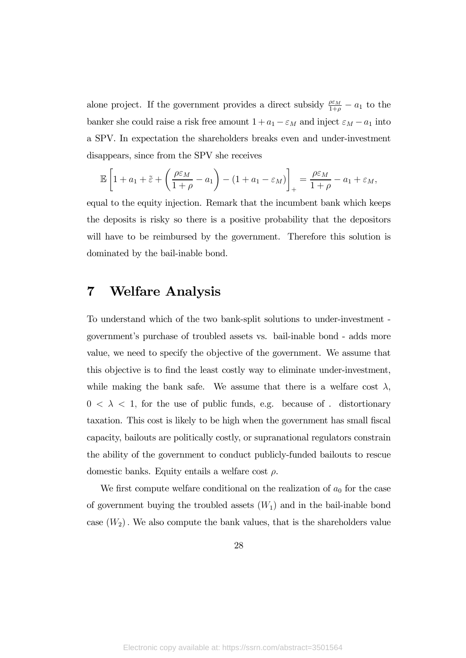alone project. If the government provides a direct subsidy  $\frac{\rho \varepsilon_M}{1+\rho} - a_1$  to the banker she could raise a risk free amount  $1 + a_1 - \varepsilon_M$  and inject  $\varepsilon_M - a_1$  into a SPV. In expectation the shareholders breaks even and under-investment disappears, since from the SPV she receives

$$
\mathbb{E}\left[1+a_1+\tilde{\varepsilon}+\left(\frac{\rho\varepsilon_M}{1+\rho}-a_1\right)-(1+a_1-\varepsilon_M)\right]_+=\frac{\rho\varepsilon_M}{1+\rho}-a_1+\varepsilon_M,
$$

equal to the equity injection. Remark that the incumbent bank which keeps the deposits is risky so there is a positive probability that the depositors will have to be reimbursed by the government. Therefore this solution is dominated by the bail-inable bond.

## 7 Welfare Analysis

To understand which of the two bank-split solutions to under-investment government's purchase of troubled assets vs. bail-inable bond - adds more value, we need to specify the objective of the government. We assume that this objective is to find the least costly way to eliminate under-investment, while making the bank safe. We assume that there is a welfare cost  $\lambda$ ,  $0 < \lambda < 1$ , for the use of public funds, e.g. because of . distortionary taxation. This cost is likely to be high when the government has small fiscal capacity, bailouts are politically costly, or supranational regulators constrain the ability of the government to conduct publicly-funded bailouts to rescue domestic banks. Equity entails a welfare cost  $\rho$ .

We first compute welfare conditional on the realization of  $a_0$  for the case of government buying the troubled assets  $(W_1)$  and in the bail-inable bond case  $(W_2)$ . We also compute the bank values, that is the shareholders value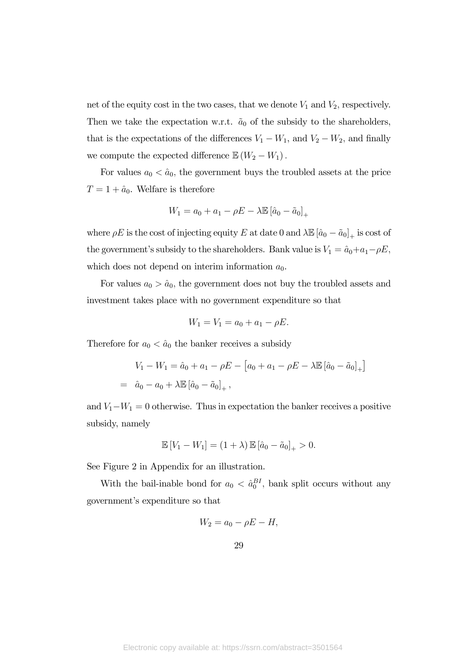net of the equity cost in the two cases, that we denote  $V_1$  and  $V_2$ , respectively. Then we take the expectation w.r.t.  $\tilde{a}_0$  of the subsidy to the shareholders, that is the expectations of the differences  $V_1 - W_1$ , and  $V_2 - W_2$ , and finally we compute the expected difference  $\mathbb{E}(W_2 - W_1)$ .

For values  $a_0 < \hat{a}_0$ , the government buys the troubled assets at the price  $T=1+\hat{a}_0$ . Welfare is therefore

$$
W_1 = a_0 + a_1 - \rho E - \lambda \mathbb{E} \left[ \hat{a}_0 - \tilde{a}_0 \right]_+
$$

where  $\rho E$  is the cost of injecting equity  $E$  at date 0 and  $\lambda \mathbb{E}[\hat{a}_0 - \tilde{a}_0]_+$  is cost of the government's subsidy to the shareholders. Bank value is  $V_1 = \hat{a}_0 + a_1 - \rho E$ , which does not depend on interim information  $a_0$ .

For values  $a_0 > \hat{a}_0$ , the government does not buy the troubled assets and investment takes place with no government expenditure so that

$$
W_1 = V_1 = a_0 + a_1 - \rho E.
$$

Therefore for  $a_0 < \hat{a}_0$  the banker receives a subsidy

$$
V_1 - W_1 = \hat{a}_0 + a_1 - \rho E - [a_0 + a_1 - \rho E - \lambda \mathbb{E} [\hat{a}_0 - \tilde{a}_0]_+]
$$
  
=  $\hat{a}_0 - a_0 + \lambda \mathbb{E} [\hat{a}_0 - \tilde{a}_0]_+,$ 

and  $V_1 - W_1 = 0$  otherwise. Thus in expectation the banker receives a positive subsidy, namely

$$
\mathbb{E}[V_1 - W_1] = (1 + \lambda) \mathbb{E} [\hat{a}_0 - \tilde{a}_0]_+ > 0.
$$

See Figure 2 in Appendix for an illustration.

With the bail-inable bond for  $a_0 < \hat{a}_0^{BI}$ , bank split occurs without any government's expenditure so that

$$
W_2 = a_0 - \rho E - H,
$$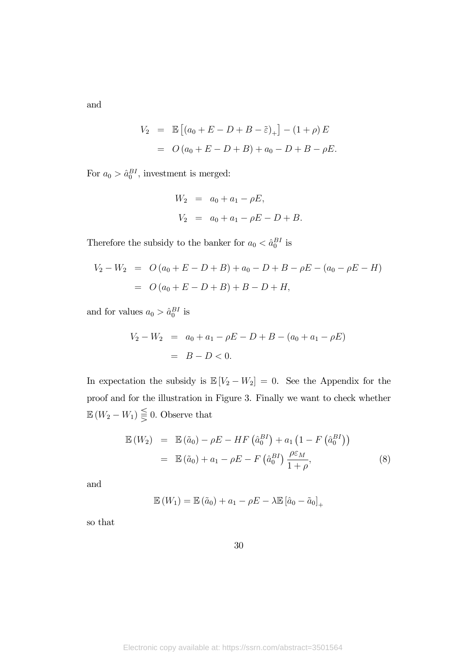and

$$
V_2 = \mathbb{E} [(a_0 + E - D + B - \tilde{\varepsilon})_+] - (1 + \rho) E
$$
  
=  $O (a_0 + E - D + B) + a_0 - D + B - \rho E.$ 

For  $a_0 > \hat{a}_0^{BI}$ , investment is merged:

$$
W_2 = a_0 + a_1 - \rho E,
$$
  
\n
$$
V_2 = a_0 + a_1 - \rho E - D + B.
$$

Therefore the subsidy to the banker for  $a_0 < \hat{a}_0^{BI}$  is

$$
V_2 - W_2 = O(a_0 + E - D + B) + a_0 - D + B - \rho E - (a_0 - \rho E - H)
$$
  
=  $O(a_0 + E - D + B) + B - D + H$ ,

and for values  $a_0 > \hat{a}_0^{BI}$  is

$$
V_2 - W_2 = a_0 + a_1 - \rho E - D + B - (a_0 + a_1 - \rho E)
$$
  
= B - D < 0.

In expectation the subsidy is  $\mathbb{E}[V_2 - W_2] = 0$ . See the Appendix for the proof and for the illustration in Figure 3. Finally we want to check whether  $\mathbb{E}(W_2 - W_1) \leq 0$ . Observe that

$$
\mathbb{E}(W_2) = \mathbb{E}(\tilde{a}_0) - \rho E - HF(\hat{a}_0^{BI}) + a_1 (1 - F(\hat{a}_0^{BI}))
$$
  

$$
= \mathbb{E}(\tilde{a}_0) + a_1 - \rho E - F(\hat{a}_0^{BI}) \frac{\rho \varepsilon_M}{1 + \rho}, \tag{8}
$$

and

$$
\mathbb{E}\left(W_{1}\right) = \mathbb{E}\left(\tilde{a}_{0}\right) + a_{1} - \rho E - \lambda \mathbb{E}\left[\hat{a}_{0} - \tilde{a}_{0}\right]_{+}
$$

so that

30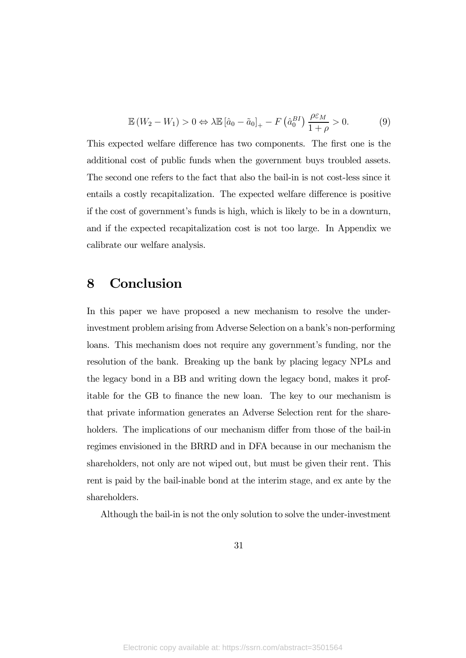$$
\mathbb{E}\left(W_2 - W_1\right) > 0 \Leftrightarrow \lambda \mathbb{E}\left[\hat{a}_0 - \tilde{a}_0\right]_+ - F\left(\hat{a}_0^{BI}\right) \frac{\rho \varepsilon_M}{1 + \rho} > 0. \tag{9}
$$

This expected welfare difference has two components. The first one is the additional cost of public funds when the government buys troubled assets. The second one refers to the fact that also the bail-in is not cost-less since it entails a costly recapitalization. The expected welfare difference is positive if the cost of government's funds is high, which is likely to be in a downturn, and if the expected recapitalization cost is not too large. In Appendix we calibrate our welfare analysis.

## 8 Conclusion

In this paper we have proposed a new mechanism to resolve the underinvestment problem arising from Adverse Selection on a bank's non-performing loans. This mechanism does not require any government's funding, nor the resolution of the bank. Breaking up the bank by placing legacy NPLs and the legacy bond in a BB and writing down the legacy bond, makes it profitable for the GB to finance the new loan. The key to our mechanism is that private information generates an Adverse Selection rent for the shareholders. The implications of our mechanism differ from those of the bail-in regimes envisioned in the BRRD and in DFA because in our mechanism the shareholders, not only are not wiped out, but must be given their rent. This rent is paid by the bail-inable bond at the interim stage, and ex ante by the shareholders.

Although the bail-in is not the only solution to solve the under-investment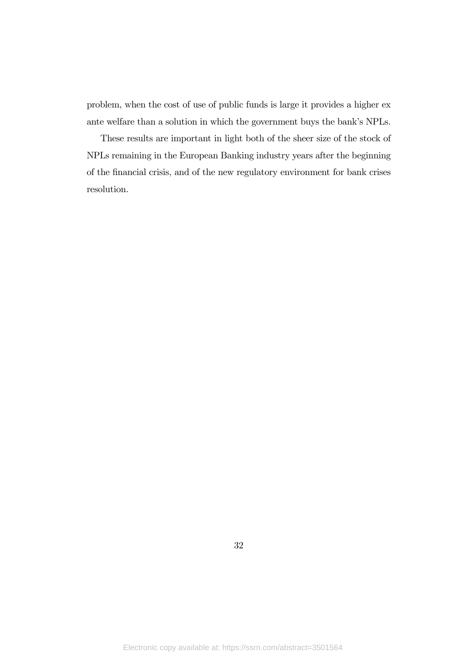problem, when the cost of use of public funds is large it provides a higher ex ante welfare than a solution in which the government buys the bank's NPLs.

These results are important in light both of the sheer size of the stock of NPLs remaining in the European Banking industry years after the beginning of the financial crisis, and of the new regulatory environment for bank crises resolution.

32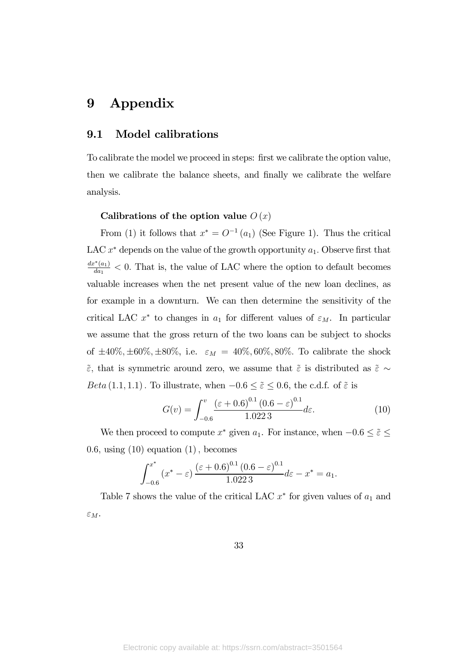## 9 Appendix

#### 9.1 Model calibrations

To calibrate the model we proceed in steps: first we calibrate the option value, then we calibrate the balance sheets, and finally we calibrate the welfare analysis.

#### Calibrations of the option value  $O(x)$

From (1) it follows that  $x^* = O^{-1}(a_1)$  (See Figure 1). Thus the critical LAC  $x^*$  depends on the value of the growth opportunity  $a_1$ . Observe first that  $\frac{dx^*(a_1)}{da_1}$  < 0. That is, the value of LAC where the option to default becomes valuable increases when the net present value of the new loan declines, as for example in a downturn. We can then determine the sensitivity of the critical LAC  $x^*$  to changes in  $a_1$  for different values of  $\varepsilon_M$ . In particular we assume that the gross return of the two loans can be subject to shocks of  $\pm 40\%, \pm 60\%, \pm 80\%,$  i.e.  $\varepsilon_M = 40\%, 60\%, 80\%$ . To calibrate the shock  $\tilde{\varepsilon}$ , that is symmetric around zero, we assume that  $\tilde{\varepsilon}$  is distributed as  $\tilde{\varepsilon} \sim$  $Beta(1.1, 1.1)$ . To illustrate, when  $-0.6 \le \tilde{\varepsilon} \le 0.6$ , the c.d.f. of  $\tilde{\varepsilon}$  is

$$
G(v) = \int_{-0.6}^{v} \frac{(\varepsilon + 0.6)^{0.1} (0.6 - \varepsilon)^{0.1}}{1.0223} d\varepsilon.
$$
 (10)

We then proceed to compute  $x^*$  given  $a_1$ . For instance, when  $-0.6 \le \tilde{\varepsilon} \le$ 0.6, using  $(10)$  equation  $(1)$ , becomes

$$
\int_{-0.6}^{x^*} (x^* - \varepsilon) \frac{(\varepsilon + 0.6)^{0.1} (0.6 - \varepsilon)^{0.1}}{1.0223} d\varepsilon - x^* = a_1.
$$

Table 7 shows the value of the critical LAC  $x^*$  for given values of  $a_1$  and  $\varepsilon_M$ .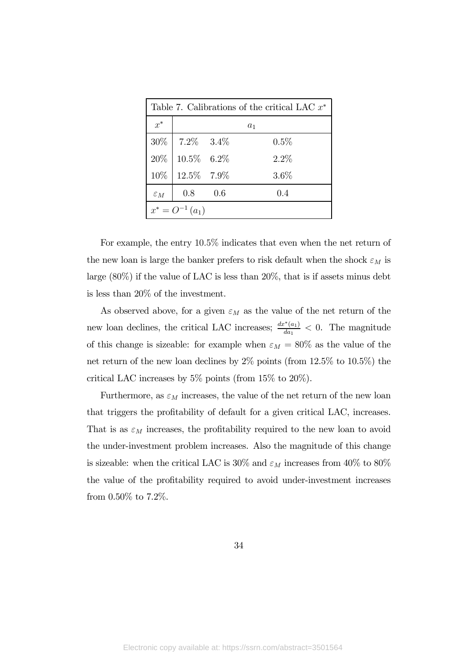| Table 7. Calibrations of the critical LAC $x^*$ |                        |     |         |  |
|-------------------------------------------------|------------------------|-----|---------|--|
| $x^*$                                           | $a_1$                  |     |         |  |
|                                                 | $30\%$   $7.2\%$ 3.4\% |     | $0.5\%$ |  |
| $20\%$                                          | $10.5\%$ 6.2%          |     | $2.2\%$ |  |
| 10%                                             | 12.5% 7.9%             |     | $3.6\%$ |  |
| $\varepsilon_M$                                 | 0.8                    | 0.6 | 0.4     |  |
| $x^* = O^{-1}(a_1)$                             |                        |     |         |  |

For example, the entry 105% indicates that even when the net return of the new loan is large the banker prefers to risk default when the shock  $\varepsilon_M$  is large (80%) if the value of LAC is less than 20%, that is if assets minus debt is less than 20% of the investment.

As observed above, for a given  $\varepsilon_M$  as the value of the net return of the new loan declines, the critical LAC increases;  $\frac{dx^*(a_1)}{da_1} < 0$ . The magnitude of this change is sizeable: for example when  $\varepsilon_M = 80\%$  as the value of the net return of the new loan declines by 2% points (from 12.5% to 10.5%) the critical LAC increases by 5% points (from 15% to 20%).

Furthermore, as  $\varepsilon_M$  increases, the value of the net return of the new loan that triggers the profitability of default for a given critical LAC, increases. That is as  $\varepsilon_M$  increases, the profitability required to the new loan to avoid the under-investment problem increases. Also the magnitude of this change is sizeable: when the critical LAC is 30% and  $\varepsilon_M$  increases from 40% to 80% the value of the profitability required to avoid under-investment increases from 0.50% to 7.2%.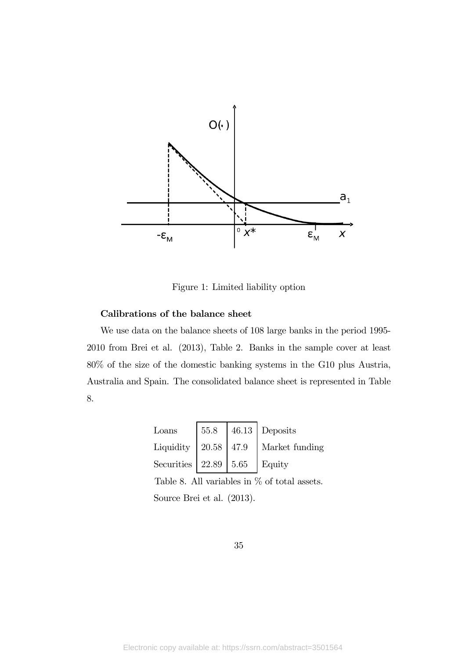

Figure 1: Limited liability option

#### Calibrations of the balance sheet

We use data on the balance sheets of 108 large banks in the period 1995- 2010 from Brei et al. (2013), Table 2. Banks in the sample cover at least 80% of the size of the domestic banking systems in the G10 plus Austria, Australia and Spain. The consolidated balance sheet is represented in Table 8.

| Loans                              |  | 55.8   46.13   Deposits                   |
|------------------------------------|--|-------------------------------------------|
|                                    |  | Liquidity   20.58   47.9   Market funding |
| Securities   22.89   5.65   Equity |  |                                           |

Table 8. All variables in  $\%$  of total assets. Source Brei et al. (2013).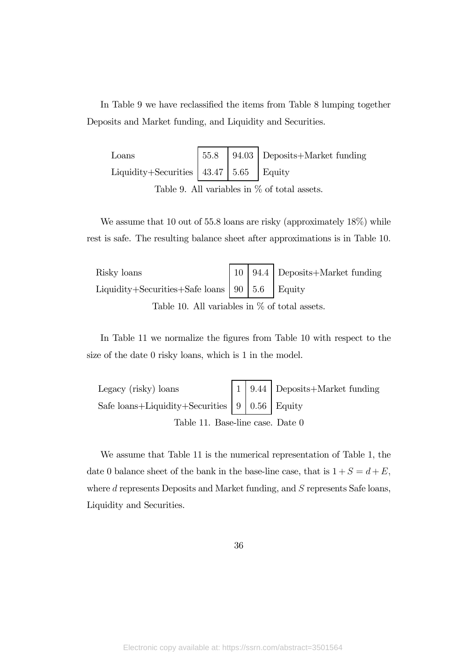In Table 9 we have reclassified the items from Table 8 lumping together Deposits and Market funding, and Liquidity and Securities.

| Loans                                      |  | $55.8$   94.03   Deposits+Market funding |
|--------------------------------------------|--|------------------------------------------|
| Liquidity+Securities $ 43.47 5.65 $ Equity |  |                                          |
|                                            |  |                                          |

Table 9. All variables in % of total assets.

We assume that 10 out of 55.8 loans are risky (approximately  $18\%$ ) while rest is safe. The resulting balance sheet after approximations is in Table 10.

| Risky loans |  | 10   94.4   Deposits+Market funding |
|-------------|--|-------------------------------------|
|             |  |                                     |
|             |  |                                     |

Table 10. All variables in % of total assets.

In Table 11 we normalize the figures from Table 10 with respect to the size of the date 0 risky loans, which is 1 in the model.

Legacy (risky) loans

\nSafe loans+
$$
Liquidity + \text{Security} \quad \boxed{9}
$$

\n9.44  $\boxed{0.56}$ 

\nEquity

\nTable 11. Base-line case. Date 0

We assume that Table 11 is the numerical representation of Table 1, the date 0 balance sheet of the bank in the base-line case, that is  $1 + S = d + E$ , where  $d$  represents Deposits and Market funding, and  $S$  represents Safe loans, Liquidity and Securities.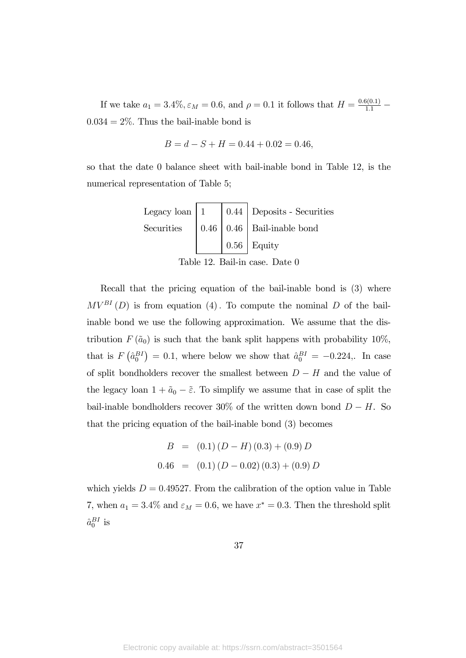If we take  $a_1 = 3.4\%, \varepsilon_M = 0.6$ , and  $\rho = 0.1$  it follows that  $H = \frac{0.6(0.1)}{1.1}$  $0.034 = 2\%$ . Thus the bail-inable bond is

$$
B = d - S + H = 0.44 + 0.02 = 0.46,
$$

so that the date 0 balance sheet with bail-inable bond in Table 12, is the numerical representation of Table 5;

Legacy loan 1 044 Deposits - Securities Securities 046 046 Bail-inable bond 056 Equity

Table 12. Bail-in case. Date 0

Recall that the pricing equation of the bail-inable bond is (3) where  $MV^{BI}(D)$  is from equation (4). To compute the nominal D of the bailinable bond we use the following approximation. We assume that the distribution  $F(\tilde{a}_0)$  is such that the bank split happens with probability 10%, that is  $F(\hat{a}_0^{BI}) = 0.1$ , where below we show that  $\hat{a}_0^{BI} = -0.224$ . In case of split bondholders recover the smallest between  $D - H$  and the value of the legacy loan  $1+\tilde{a}_0-\tilde{\varepsilon}$ . To simplify we assume that in case of split the bail-inable bondholders recover 30% of the written down bond  $D - H$ . So that the pricing equation of the bail-inable bond (3) becomes

$$
B = (0.1) (D - H) (0.3) + (0.9) D
$$
  

$$
0.46 = (0.1) (D - 0.02) (0.3) + (0.9) D
$$

which yields  $D = 0.49527$ . From the calibration of the option value in Table 7, when  $a_1 = 3.4\%$  and  $\varepsilon_M = 0.6$ , we have  $x^* = 0.3$ . Then the threshold split  $\hat{a}^{BI}_{0}$  is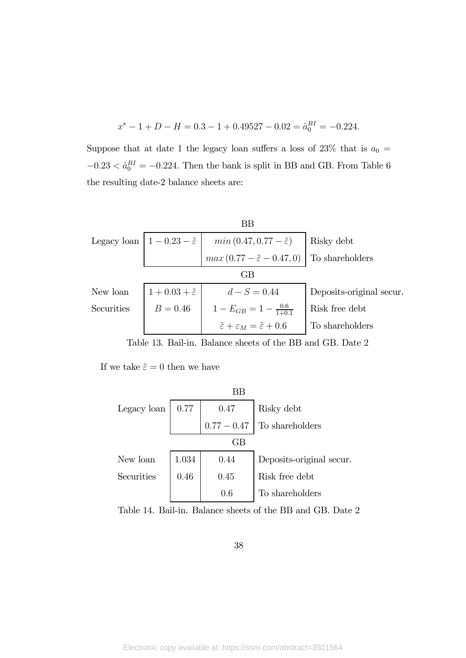$$
x^* - 1 + D - H = 0.3 - 1 + 0.49527 - 0.02 = \hat{a}_0^{BI} = -0.224.
$$

Suppose that at date 1 the legacy loan suffers a loss of  $23\%$  that is  $a_0 =$  $-0.23 < \hat{a}_0^{BI} = -0.224$ . Then the bank is split in BB and GB. From Table 6 the resulting date-2 balance sheets are:

| ΒB         |                                                |                                                                   |                          |  |  |
|------------|------------------------------------------------|-------------------------------------------------------------------|--------------------------|--|--|
|            | Legacy loan $ 1 - 0.23 - \tilde{\varepsilon} $ | $min(0.47, 0.77 - \tilde{\varepsilon})$                           | Risky debt               |  |  |
|            |                                                | $max(0.77 - \tilde{\varepsilon} - 0.47, 0)$                       | To shareholders          |  |  |
| $\rm GB$   |                                                |                                                                   |                          |  |  |
| New loan   | $1+0.03+\tilde{\varepsilon}$                   | $d-S = 0.44$                                                      | Deposits-original secur. |  |  |
| Securities | $B = 0.46$                                     | $1-E_{GB}=1-\frac{0.6}{1+0.1}$                                    | Risk free debt           |  |  |
|            |                                                | $\tilde{\varepsilon} + \varepsilon_M = \tilde{\varepsilon} + 0.6$ | To shareholders          |  |  |

Table 13. Bail-in. Balance sheets of the BB and GB. Date 2

If we take  $\tilde{\varepsilon}=0$  then we have

BB Legacy loan 077 047 Risky debt 077 − 047 To shareholders GB New loan 1034 044 Deposits-original secur. Securities 046 045 Risk free debt 06 To shareholders

Table 14. Bail-in. Balance sheets of the BB and GB. Date 2

38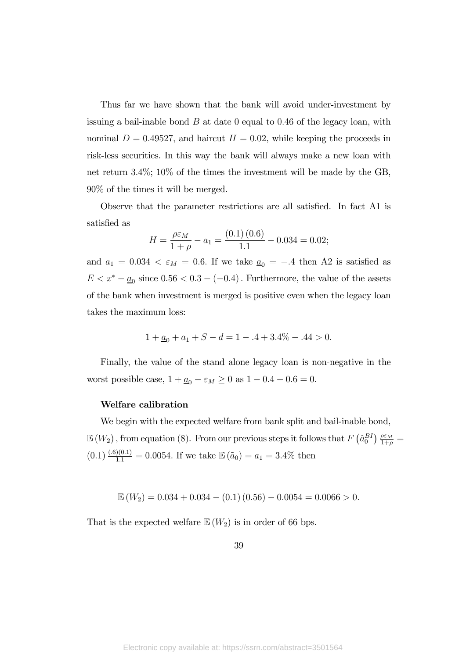Thus far we have shown that the bank will avoid under-investment by issuing a bail-inable bond  $B$  at date 0 equal to 0.46 of the legacy loan, with nominal  $D = 0.49527$ , and haircut  $H = 0.02$ , while keeping the proceeds in risk-less securities. In this way the bank will always make a new loan with net return 34%; 10% of the times the investment will be made by the GB, 90% of the times it will be merged.

Observe that the parameter restrictions are all satisfied. In fact A1 is satisfied as

$$
H = \frac{\rho \varepsilon_M}{1 + \rho} - a_1 = \frac{(0.1) (0.6)}{1.1} - 0.034 = 0.02;
$$

and  $a_1 = 0.034 < \varepsilon_M = 0.6$ . If we take  $a_0 = -.4$  then A2 is satisfied as  $E < x^* - \underline{a}_0$  since  $0.56 < 0.3 - (-0.4)$  . Furthermore, the value of the assets of the bank when investment is merged is positive even when the legacy loan takes the maximum loss:

$$
1 + \underline{a}_0 + a_1 + S - d = 1 - .4 + 3.4\% - .44 > 0.
$$

Finally, the value of the stand alone legacy loan is non-negative in the worst possible case,  $1 + \underline{a_0} - \varepsilon_M \ge 0$  as  $1 - 0.4 - 0.6 = 0$ .

#### Welfare calibration

We begin with the expected welfare from bank split and bail-inable bond,  $\mathbb{E}(W_2)$ , from equation (8). From our previous steps it follows that  $F\left(\hat{a}_0^{BI}\right) \frac{\rho \varepsilon_M}{1+\rho} =$  $(0.1) \frac{(.6)(0.1)}{1.1} = 0.0054$ . If we take  $\mathbb{E}(\tilde{a}_0) = a_1 = 3.4\%$  then

$$
\mathbb{E}(W_2) = 0.034 + 0.034 - (0.1)(0.56) - 0.0054 = 0.0066 > 0.
$$

That is the expected welfare  $\mathbb{E}(W_2)$  is in order of 66 bps.

39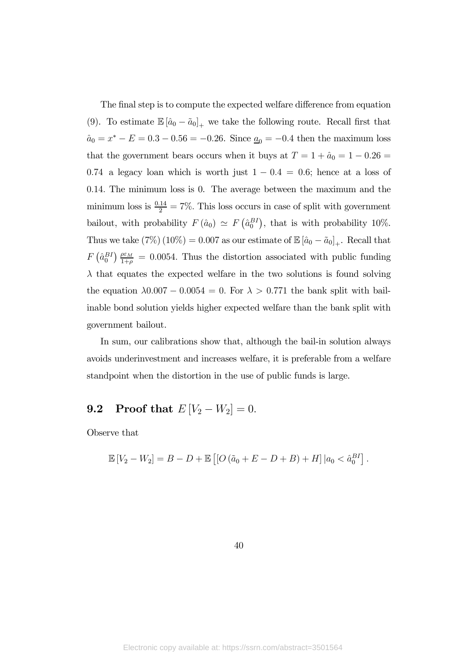The final step is to compute the expected welfare difference from equation (9). To estimate  $\mathbb{E}[\hat{a}_0 - \tilde{a}_0]_+$  we take the following route. Recall first that  $\hat{a}_0 = x^* - E = 0.3 - 0.56 = -0.26$ . Since  $\underline{a}_0 = -0.4$  then the maximum loss that the government bears occurs when it buys at  $T = 1 + \hat{a}_0 = 1 - 0.26 =$ 0.74 a legacy loan which is worth just  $1 - 0.4 = 0.6$ ; hence at a loss of 014 The minimum loss is 0. The average between the maximum and the minimum loss is  $\frac{0.14}{2} = 7\%$ . This loss occurs in case of split with government bailout, with probability  $F(\hat{a}_0) \simeq F(\hat{a}_0^{BI})$ , that is with probability 10%. Thus we take  $(7\%) (10\%) = 0.007$  as our estimate of  $\mathbb{E}[\hat{a}_0 - \tilde{a}_0]_+$ . Recall that  $F\left(\hat{a}_0^{BI}\right) \frac{\rho \varepsilon_M}{1+\rho} = 0.0054$ . Thus the distortion associated with public funding  $\lambda$  that equates the expected welfare in the two solutions is found solving the equation  $\lambda 0.007 - 0.0054 = 0$ . For  $\lambda > 0.771$  the bank split with bailinable bond solution yields higher expected welfare than the bank split with government bailout.

In sum, our calibrations show that, although the bail-in solution always avoids underinvestment and increases welfare, it is preferable from a welfare standpoint when the distortion in the use of public funds is large.

## **9.2** Proof that  $E[V_2 - W_2] = 0$ .

Observe that

$$
\mathbb{E}[V_2 - W_2] = B - D + \mathbb{E}\left[ [O(\tilde{a}_0 + E - D + B) + H] | a_0 < \hat{a}_0^{BI} \right].
$$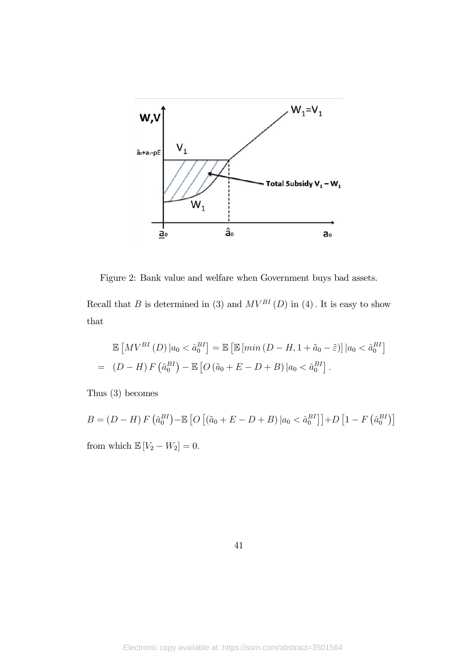

Figure 2: Bank value and welfare when Government buys bad assets.

Recall that  $B$  is determined in (3) and  $MV^{BI}(D)$  in (4). It is easy to show that

$$
\mathbb{E}\left[MV^{BI}(D)\middle|a_{0}<\hat{a}_{0}^{BI}\right]=\mathbb{E}\left[\mathbb{E}\left[\min\left(D-H,1+\tilde{a}_{0}-\tilde{\varepsilon}\right)\right]\middle|a_{0}<\hat{a}_{0}^{BI}\right]
$$
\n
$$
=(D-H)F\left(\hat{a}_{0}^{BI}\right)-\mathbb{E}\left[O\left(\tilde{a}_{0}+E-D+B\right)\middle|a_{0}<\hat{a}_{0}^{BI}\right].
$$

Thus (3) becomes

 $B = (D - H) F (\hat{a}_0^{BI}) - \mathbb{E} [O [(\tilde{a}_0 + E - D + B) | a_0 < \hat{a}_0^{BI}] ] + D [1 - F (\hat{a}_0^{BI})]$ from which  $\mathbb{E}\left[V_2 - W_2\right] = 0.$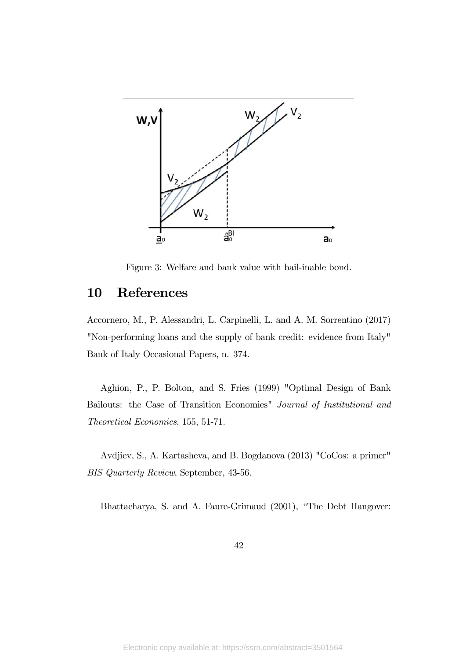

Figure 3: Welfare and bank value with bail-inable bond.

## 10 References

Accornero, M., P. Alessandri, L. Carpinelli, L. and A. M. Sorrentino (2017) "Non-performing loans and the supply of bank credit: evidence from Italy" Bank of Italy Occasional Papers, n. 374.

Aghion, P., P. Bolton, and S. Fries (1999) "Optimal Design of Bank Bailouts: the Case of Transition Economies" Journal of Institutional and Theoretical Economics, 155, 51-71.

Avdjiev, S., A. Kartasheva, and B. Bogdanova (2013) "CoCos: a primer" BIS Quarterly Review, September, 43-56.

Bhattacharya, S. and A. Faure-Grimaud (2001), "The Debt Hangover: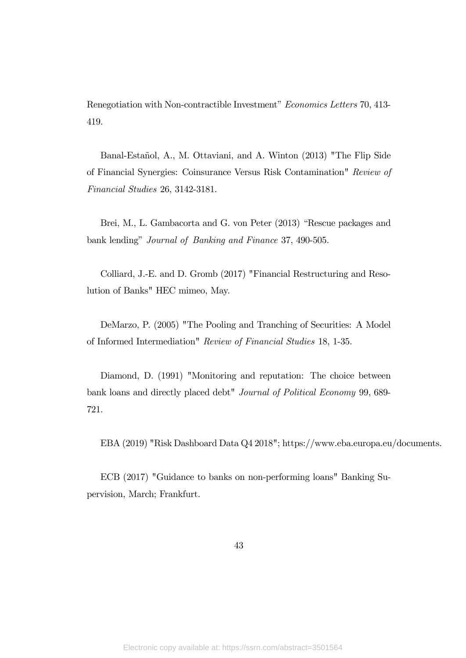Renegotiation with Non-contractible Investment" Economics Letters 70, 413- 419.

Banal-Estañol, A., M. Ottaviani, and A. Winton (2013) "The Flip Side of Financial Synergies: Coinsurance Versus Risk Contamination" Review of Financial Studies 26, 3142-3181.

Brei, M., L. Gambacorta and G. von Peter (2013) "Rescue packages and bank lending" Journal of Banking and Finance 37, 490-505.

Colliard, J.-E. and D. Gromb (2017) "Financial Restructuring and Resolution of Banks" HEC mimeo, May.

DeMarzo, P. (2005) "The Pooling and Tranching of Securities: A Model of Informed Intermediation" Review of Financial Studies 18, 1-35.

Diamond, D. (1991) "Monitoring and reputation: The choice between bank loans and directly placed debt" Journal of Political Economy 99, 689- 721.

EBA (2019) "Risk Dashboard Data Q4 2018"; https://www.eba.europa.eu/documents.

ECB (2017) "Guidance to banks on non-performing loans" Banking Supervision, March; Frankfurt.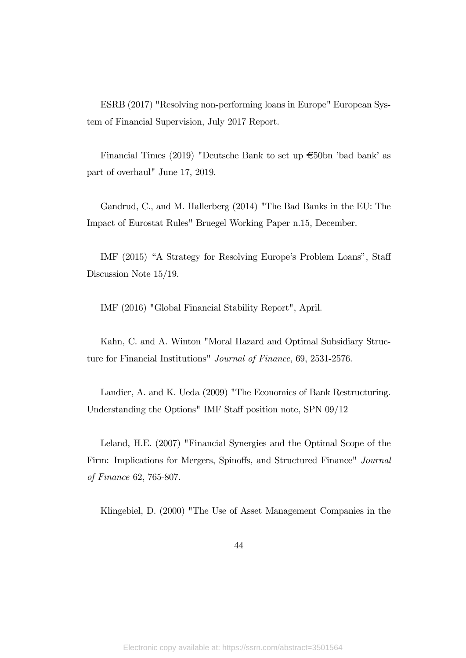ESRB (2017) "Resolving non-performing loans in Europe" European System of Financial Supervision, July 2017 Report.

Financial Times (2019) "Deutsche Bank to set up  $\epsilon$ 50bn 'bad bank' as part of overhaul" June 17, 2019.

Gandrud, C., and M. Hallerberg (2014) "The Bad Banks in the EU: The Impact of Eurostat Rules" Bruegel Working Paper n.15, December.

IMF (2015) "A Strategy for Resolving Europe's Problem Loans", Staff Discussion Note 15/19.

IMF (2016) "Global Financial Stability Report", April.

Kahn, C. and A. Winton "Moral Hazard and Optimal Subsidiary Structure for Financial Institutions" Journal of Finance, 69, 2531-2576.

Landier, A. and K. Ueda (2009) "The Economics of Bank Restructuring. Understanding the Options" IMF Staff position note, SPN 09/12

Leland, H.E. (2007) "Financial Synergies and the Optimal Scope of the Firm: Implications for Mergers, Spinoffs, and Structured Finance" Journal of Finance 62, 765-807.

Klingebiel, D. (2000) "The Use of Asset Management Companies in the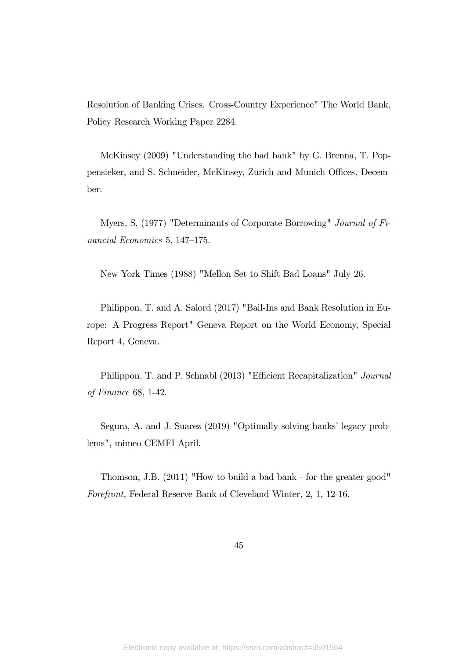Resolution of Banking Crises. Cross-Country Experience" The World Bank, Policy Research Working Paper 2284.

McKinsey (2009) "Understanding the bad bank" by G. Brenna, T. Poppensieker, and S. Schneider, McKinsey, Zurich and Munich Offices, December.

Myers, S. (1977) "Determinants of Corporate Borrowing" Journal of Financial Economics 5, 147—175.

New York Times (1988) "Mellon Set to Shift Bad Loans" July 26.

Philippon, T. and A. Salord (2017) "Bail-Ins and Bank Resolution in Europe: A Progress Report" Geneva Report on the World Economy, Special Report 4, Geneva.

Philippon, T. and P. Schnabl (2013) "Efficient Recapitalization" Journal of Finance 68, 1-42.

Segura, A. and J. Suarez (2019) "Optimally solving banks' legacy problems", mimeo CEMFI April.

Thomson, J.B. (2011) "How to build a bad bank - for the greater good" Forefront, Federal Reserve Bank of Cleveland Winter, 2, 1, 12-16.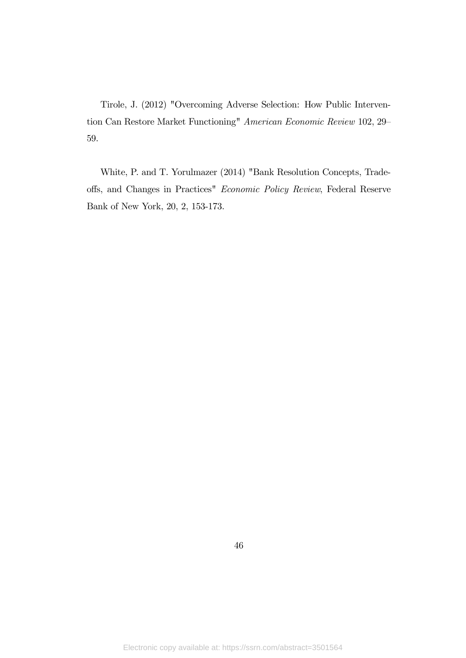Tirole, J. (2012) "Overcoming Adverse Selection: How Public Intervention Can Restore Market Functioning" American Economic Review 102, 29— 59.

White, P. and T. Yorulmazer (2014) "Bank Resolution Concepts, Tradeoffs, and Changes in Practices" Economic Policy Review, Federal Reserve Bank of New York, 20, 2, 153-173.

46